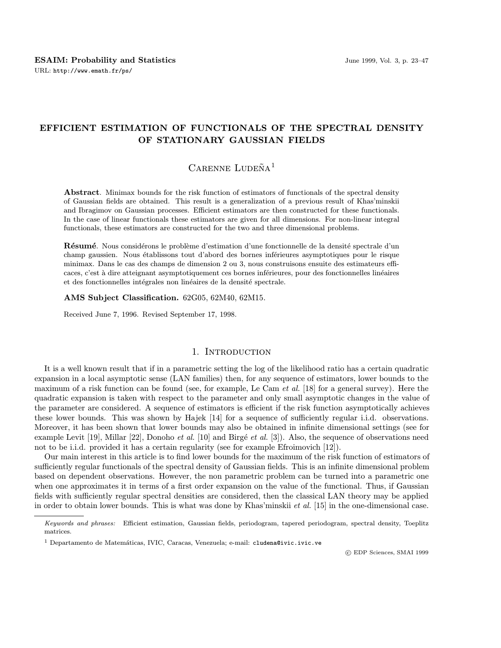## EFFICIENT ESTIMATION OF FUNCTIONALS OF THE SPECTRAL DENSITY OF STATIONARY GAUSSIAN FIELDS

# $C$ ARENNE LUDEÑA<sup>1</sup>

Abstract. Minimax bounds for the risk function of estimators of functionals of the spectral density of Gaussian fields are obtained. This result is a generalization of a previous result of Khas'minskii and Ibragimov on Gaussian processes. Efficient estimators are then constructed for these functionals. In the case of linear functionals these estimators are given for all dimensions. For non-linear integral functionals, these estimators are constructed for the two and three dimensional problems.

Résumé. Nous considérons le problème d'estimation d'une fonctionnelle de la densité spectrale d'un champ gaussien. Nous établissons tout d'abord des bornes inférieures asymptotiques pour le risque minimax. Dans le cas des champs de dimension 2 ou 3, nous construisons ensuite des estimateurs efficaces, c'est à dire atteignant asymptotiquement ces bornes inférieures, pour des fonctionnelles linéaires et des fonctionnelles intégrales non linéaires de la densité spectrale.

### AMS Subject Classification. 62G05, 62M40, 62M15.

Received June 7, 1996. Revised September 17, 1998.

## 1. Introduction

It is a well known result that if in a parametric setting the log of the likelihood ratio has a certain quadratic expansion in a local asymptotic sense (LAN families) then, for any sequence of estimators, lower bounds to the maximum of a risk function can be found (see, for example, Le Cam *et al.* [18] for a general survey). Here the quadratic expansion is taken with respect to the parameter and only small asymptotic changes in the value of the parameter are considered. A sequence of estimators is efficient if the risk function asymptotically achieves these lower bounds. This was shown by Hajek [14] for a sequence of sufficiently regular i.i.d. observations. Moreover, it has been shown that lower bounds may also be obtained in infinite dimensional settings (see for example Levit  $[19]$ , Millar  $[22]$ , Donoho *et al.*  $[10]$  and Birgé *et al.*  $[3]$ ). Also, the sequence of observations need not to be i.i.d. provided it has a certain regularity (see for example Efroimovich [12]).

Our main interest in this article is to find lower bounds for the maximum of the risk function of estimators of sufficiently regular functionals of the spectral density of Gaussian fields. This is an infinite dimensional problem based on dependent observations. However, the non parametric problem can be turned into a parametric one when one approximates it in terms of a first order expansion on the value of the functional. Thus, if Gaussian fields with sufficiently regular spectral densities are considered, then the classical LAN theory may be applied in order to obtain lower bounds. This is what was done by Khas'minskii et al. [15] in the one-dimensional case.

c EDP Sciences, SMAI 1999

Keywords and phrases: Efficient estimation, Gaussian fields, periodogram, tapered periodogram, spectral density, Toeplitz matrices.

 $<sup>1</sup>$  Departamento de Matemáticas, IVIC, Caracas, Venezuela; e-mail: cludena@ivic.ivic.ve</sup>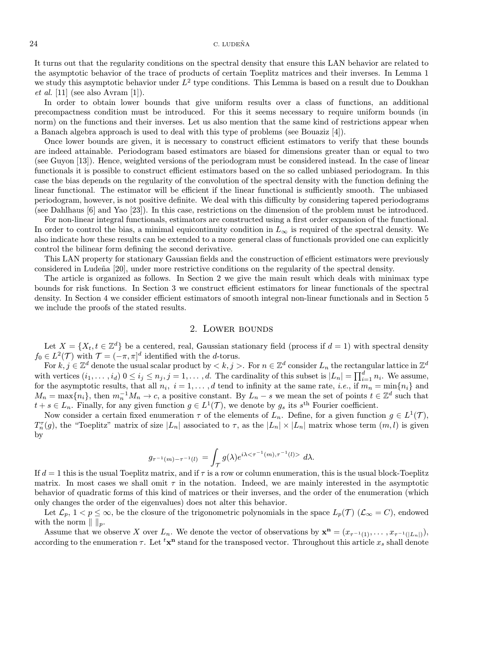#### $24$  C. LUDEÑA

It turns out that the regularity conditions on the spectral density that ensure this LAN behavior are related to the asymptotic behavior of the trace of products of certain Toeplitz matrices and their inverses. In Lemma 1 we study this asymptotic behavior under  $L^2$  type conditions. This Lemma is based on a result due to Doukhan *et al.* [11] (see also Avram [1]).

In order to obtain lower bounds that give uniform results over a class of functions, an additional precompactness condition must be introduced. For this it seems necessary to require uniform bounds (in norm) on the functions and their inverses. Let us also mention that the same kind of restrictions appear when a Banach algebra approach is used to deal with this type of problems (see Bouaziz [4]).

Once lower bounds are given, it is necessary to construct efficient estimators to verify that these bounds are indeed attainable. Periodogram based estimators are biased for dimensions greater than or equal to two (see Guyon [13]). Hence, weighted versions of the periodogram must be considered instead. In the case of linear functionals it is possible to construct efficient estimators based on the so called unbiased periodogram. In this case the bias depends on the regularity of the convolution of the spectral density with the function defining the linear functional. The estimator will be efficient if the linear functional is sufficiently smooth. The unbiased periodogram, however, is not positive definite. We deal with this difficulty by considering tapered periodograms (see Dahlhaus [6] and Yao [23]). In this case, restrictions on the dimension of the problem must be introduced.

For non-linear integral functionals, estimators are constructed using a first order expansion of the functional. In order to control the bias, a minimal equicontinuity condition in  $L_{\infty}$  is required of the spectral density. We also indicate how these results can be extended to a more general class of functionals provided one can explicitly control the bilinear form defining the second derivative.

This LAN property for stationary Gaussian fields and the construction of efficient estimators were previously considered in Ludeña [20], under more restrictive conditions on the regularity of the spectral density.

The article is organized as follows. In Section 2 we give the main result which deals with minimax type bounds for risk functions. In Section 3 we construct efficient estimators for linear functionals of the spectral density. In Section 4 we consider efficient estimators of smooth integral non-linear functionals and in Section 5 we include the proofs of the stated results.

## 2. Lower bounds

Let  $X = \{X_t, t \in \mathbb{Z}^d\}$  be a centered, real, Gaussian stationary field (process if  $d = 1$ ) with spectral density  $f_0 \in L^2(\mathcal{T})$  with  $\mathcal{T} = (-\pi, \pi]^d$  identified with the d-torus.

For  $k, j \in \mathbb{Z}^d$  denote the usual scalar product by  $\langle k, j \rangle$ . For  $n \in \mathbb{Z}^d$  consider  $L_n$  the rectangular lattice in  $\mathbb{Z}^d$ with vertices  $(i_1,\ldots,i_d)$   $0 \le i_j \le n_j, j = 1,\ldots,d$ . The cardinality of this subset is  $|L_n| = \prod_{i=1}^d n_i$ . We assume, for the asymptotic results, that all  $n_i$ ,  $i = 1, \ldots, d$  tend to infinity at the same rate, *i.e.*, if  $m_n = \min\{n_i\}$  and  $M_n = \max\{n_i\}$ , then  $m_n^{-1}M_n \to c$ , a positive constant. By  $L_n - s$  we mean the set of points  $t \in \mathbb{Z}^d$  such that  $t + s \in L_n$ . Finally, for any given function  $g \in L^1(\mathcal{T})$ , we denote by  $g_s$  its  $s^{\text{th}}$  Fourier coefficient.

Now consider a certain fixed enumeration  $\tau$  of the elements of  $L_n$ . Define, for a given function  $g \in L^1(\mathcal{T})$ ,  $T_n^{\tau}(g)$ , the "Toeplitz" matrix of size  $|L_n|$  associated to  $\tau$ , as the  $|L_n| \times |L_n|$  matrix whose term  $(m, l)$  is given by

$$
g_{\tau^{-1}(m)-\tau^{-1}(l)} = \int_{\mathcal{T}} g(\lambda) e^{i\lambda < \tau^{-1}(m), \tau^{-1}(l) >} d\lambda.
$$

If  $d = 1$  this is the usual Toeplitz matrix, and if  $\tau$  is a row or column enumeration, this is the usual block-Toeplitz matrix. In most cases we shall omit  $\tau$  in the notation. Indeed, we are mainly interested in the asymptotic behavior of quadratic forms of this kind of matrices or their inverses, and the order of the enumeration (which only changes the order of the eigenvalues) does not alter this behavior.

Let  $\mathcal{L}_p$ ,  $1 < p \leq \infty$ , be the closure of the trigonometric polynomials in the space  $L_p(\mathcal{T})$  ( $\mathcal{L}_{\infty} = C$ ), endowed with the norm  $|| \ ||_p$ .

Assume that we observe X over  $L_n$ . We denote the vector of observations by  $\mathbf{x}^n = (x_{\tau^{-1}(1)}, \ldots, x_{\tau^{-1}(|L_n|)}),$ according to the enumeration  $\tau$ . Let  ${}^t \mathbf{x}^n$  stand for the transposed vector. Throughout this article  $x_s$  shall denote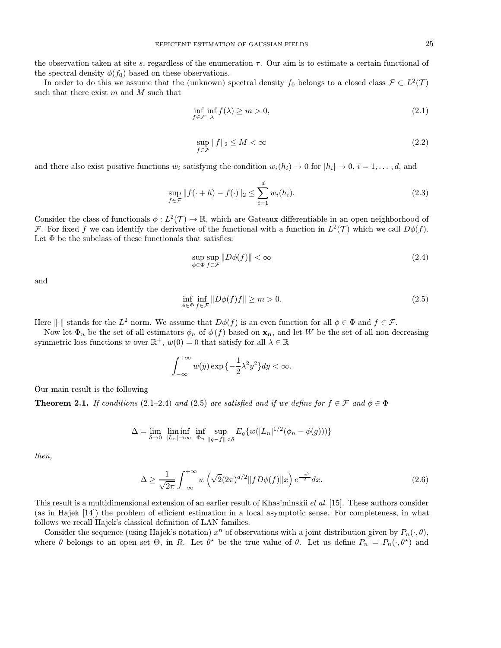the observation taken at site s, regardless of the enumeration  $\tau$ . Our aim is to estimate a certain functional of the spectral density  $\phi(f_0)$  based on these observations.

In order to do this we assume that the (unknown) spectral density  $f_0$  belongs to a closed class  $\mathcal{F} \subset L^2(\mathcal{T})$ such that there exist  $m$  and  $M$  such that

$$
\inf_{f \in \mathcal{F}} \inf_{\lambda} f(\lambda) \ge m > 0,
$$
\n(2.1)

$$
\sup_{f \in \mathcal{F}} \|f\|_2 \le M < \infty \tag{2.2}
$$

and there also exist positive functions  $w_i$  satisfying the condition  $w_i(h_i) \to 0$  for  $|h_i| \to 0$ ,  $i = 1, \ldots, d$ , and

$$
\sup_{f \in \mathcal{F}} \|f(\cdot + h) - f(\cdot)\|_2 \le \sum_{i=1}^d w_i(h_i). \tag{2.3}
$$

Consider the class of functionals  $\phi: L^2(\mathcal{T}) \to \mathbb{R}$ , which are Gateaux differentiable in an open neighborhood of F. For fixed f we can identify the derivative of the functional with a function in  $L^2(\mathcal{T})$  which we call  $D\phi(f)$ . Let  $\Phi$  be the subclass of these functionals that satisfies:

$$
\sup_{\phi \in \Phi} \sup_{f \in \mathcal{F}} \| D\phi(f) \| < \infty \tag{2.4}
$$

and

$$
\inf_{\phi \in \Phi} \inf_{f \in \mathcal{F}} \| D\phi(f)f \| \ge m > 0. \tag{2.5}
$$

Here  $\|\cdot\|$  stands for the  $L^2$  norm. We assume that  $D\phi(f)$  is an even function for all  $\phi \in \Phi$  and  $f \in \mathcal{F}$ .

Now let  $\Phi_n$  be the set of all estimators  $\phi_n$  of  $\phi(f)$  based on  $\mathbf{x}_n$ , and let W be the set of all non decreasing symmetric loss functions w over  $\mathbb{R}^+$ ,  $w(0) = 0$  that satisfy for all  $\lambda \in \mathbb{R}$ 

$$
\int_{-\infty}^{+\infty} w(y) \exp\left\{-\frac{1}{2}\lambda^2 y^2\right\} dy < \infty.
$$

Our main result is the following

**Theorem 2.1.** If conditions (2.1–2.4) and (2.5) are satisfied and if we define for  $f \in \mathcal{F}$  and  $\phi \in \Phi$ 

$$
\Delta = \lim_{\delta \to 0} \liminf_{|L_n| \to \infty} \inf_{\Phi_n} \sup_{\|g-f\| < \delta} E_g\{w(|L_n|^{1/2}(\phi_n - \phi(g)))\}
$$

then,

$$
\Delta \ge \frac{1}{\sqrt{2\pi}} \int_{-\infty}^{+\infty} w\left(\sqrt{2}(2\pi)^{d/2} \|f D\phi(f)\|x\right) e^{\frac{-x^2}{2}} dx. \tag{2.6}
$$

This result is a multidimensional extension of an earlier result of Khas'minskii et al. [15]. These authors consider (as in Hajek [14]) the problem of efficient estimation in a local asymptotic sense. For completeness, in what follows we recall Hajek's classical definition of LAN families.

Consider the sequence (using Hajek's notation)  $x^n$  of observations with a joint distribution given by  $P_n(\cdot, \theta)$ , where  $\theta$  belongs to an open set  $\Theta$ , in R. Let  $\theta^*$  be the true value of  $\theta$ . Let us define  $P_n = P_n(\cdot, \theta^*)$  and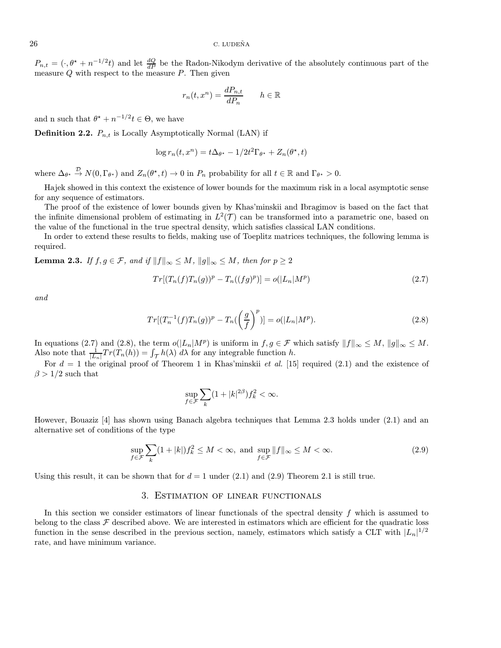$P_{n,t} = (\cdot, \theta^* + n^{-1/2}t)$  and let  $\frac{dQ}{dP}$  be the Radon-Nikodym derivative of the absolutely continuous part of the measure  $Q$  with respect to the measure  $P$ . Then given

$$
r_n(t, x^n) = \frac{dP_{n,t}}{dP_n} \qquad h \in \mathbb{R}
$$

and n such that  $\theta^* + n^{-1/2}t \in \Theta$ , we have

**Definition 2.2.**  $P_{n,t}$  is Locally Asymptotically Normal (LAN) if

$$
\log r_n(t, x^n) = t\Delta_{\theta^*} - 1/2t^2 \Gamma_{\theta^*} + Z_n(\theta^*, t)
$$

where  $\Delta_{\theta^*} \stackrel{\mathcal{D}}{\rightarrow} N(0,\Gamma_{\theta^*})$  and  $Z_n(\theta^*,t) \rightarrow 0$  in  $P_n$  probability for all  $t \in \mathbb{R}$  and  $\Gamma_{\theta^*} > 0$ .

Hajek showed in this context the existence of lower bounds for the maximum risk in a local asymptotic sense for any sequence of estimators.

The proof of the existence of lower bounds given by Khas'minskii and Ibragimov is based on the fact that the infinite dimensional problem of estimating in  $L^2(\mathcal{T})$  can be transformed into a parametric one, based on the value of the functional in the true spectral density, which satisfies classical LAN conditions.

In order to extend these results to fields, making use of Toeplitz matrices techniques, the following lemma is required.

**Lemma 2.3.** If  $f, g \in \mathcal{F}$ , and if  $||f||_{\infty} \leq M$ ,  $||g||_{\infty} \leq M$ , then for  $p \geq 2$ 

$$
Tr[(T_n(f)T_n(g))^p - T_n((fg)^p)] = o(|L_n|M^p)
$$
\n(2.7)

and

$$
Tr[(T_n^{-1}(f)T_n(g))^p - T_n(\left(\frac{g}{f}\right)^p)] = o(|L_n|M^p).
$$
\n(2.8)

In equations (2.7) and (2.8), the term  $o(|L_n|M^p)$  is uniform in  $f,g \in \mathcal{F}$  which satisfy  $||f||_{\infty} \leq M$ ,  $||g||_{\infty} \leq M$ . Also note that  $\frac{1}{|L_n|}Tr(T_n(h)) = \int_{\mathcal{T}} h(\lambda) d\lambda$  for any integrable function h.

For  $d = 1$  the original proof of Theorem 1 in Khas'minskii et al. [15] required (2.1) and the existence of  $\beta > 1/2$  such that

$$
\sup_{f\in\mathcal{F}}\sum_{k}(1+|k|^{2\beta})f_k^2<\infty.
$$

However, Bouaziz [4] has shown using Banach algebra techniques that Lemma 2.3 holds under (2.1) and an alternative set of conditions of the type

$$
\sup_{f \in \mathcal{F}} \sum_{k} (1+|k|) f_k^2 \le M < \infty, \text{ and } \sup_{f \in \mathcal{F}} \|f\|_{\infty} \le M < \infty. \tag{2.9}
$$

Using this result, it can be shown that for  $d = 1$  under (2.1) and (2.9) Theorem 2.1 is still true.

#### 3. Estimation of linear functionals

In this section we consider estimators of linear functionals of the spectral density  $f$  which is assumed to belong to the class  $\mathcal F$  described above. We are interested in estimators which are efficient for the quadratic loss function in the sense described in the previous section, namely, estimators which satisfy a CLT with  $|L_n|^{1/2}$ rate, and have minimum variance.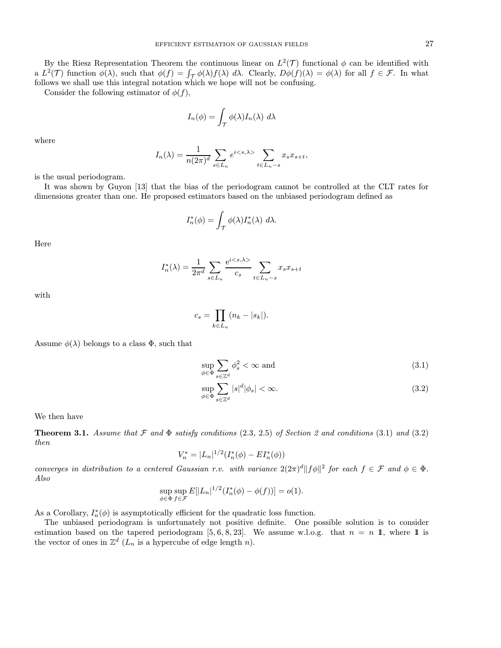By the Riesz Representation Theorem the continuous linear on  $L^2(\mathcal{T})$  functional  $\phi$  can be identified with a  $L^2(\mathcal{T})$  function  $\phi(\lambda)$ , such that  $\phi(f) = \int_{\mathcal{T}} \phi(\lambda) f(\lambda) d\lambda$ . Clearly,  $D\phi(f)(\lambda) = \phi(\lambda)$  for all  $f \in \mathcal{F}$ . In what follows we shall use this integral notation which we hope will not be confusing.

Consider the following estimator of  $\phi(f)$ ,

$$
I_n(\phi) = \int_{\mathcal{T}} \phi(\lambda) I_n(\lambda) \ d\lambda
$$

where

$$
I_n(\lambda) = \frac{1}{n(2\pi)^d} \sum_{s \in L_n} e^{i \langle s, \lambda \rangle} \sum_{t \in L_n - s} x_s x_{s+t},
$$

is the usual periodogram.

It was shown by Guyon [13] that the bias of the periodogram cannot be controlled at the CLT rates for dimensions greater than one. He proposed estimators based on the unbiased periodogram defined as

$$
I_n^*(\phi) = \int_{\mathcal{T}} \phi(\lambda) I_n^*(\lambda) \ d\lambda.
$$

Here

$$
I_n^*(\lambda) = \frac{1}{2\pi^d} \sum_{s \in L_n} \frac{e^{i \langle s, \lambda \rangle}}{c_s} \sum_{t \in L_n - s} x_s x_{s+t}
$$

with

$$
c_s = \prod_{k \in L_n} (n_k - |s_k|).
$$

Assume  $\phi(\lambda)$  belongs to a class  $\Phi$ , such that

$$
\sup_{\phi \in \Phi} \sum_{s \in \mathbb{Z}^d} \phi_s^2 < \infty \text{ and} \tag{3.1}
$$

$$
\sup_{\phi \in \Phi} \sum_{s \in \mathbb{Z}^d} |s|^d |\phi_s| < \infty. \tag{3.2}
$$

We then have

**Theorem 3.1.** Assume that F and  $\Phi$  satisfy conditions (2.3, 2.5) of Section 2 and conditions (3.1) and (3.2) then

$$
V_n^* = |L_n|^{1/2} (I_n^*(\phi) - EI_n^*(\phi))
$$

converges in distribution to a centered Gaussian r.v. with variance  $2(2\pi)^d||f\phi||^2$  for each  $f \in \mathcal{F}$  and  $\phi \in \Phi$ . Also

$$
\sup_{\phi \in \Phi} \sup_{f \in \mathcal{F}} E[|L_n|^{1/2} (I_n^*(\phi) - \phi(f))] = o(1).
$$

As a Corollary,  $I_n^*(\phi)$  is asymptotically efficient for the quadratic loss function.

The unbiased periodogram is unfortunately not positive definite. One possible solution is to consider estimation based on the tapered periodogram [5, 6, 8, 23]. We assume w.l.o.g. that  $n = n \mathbb{1}$ , where  $\mathbb{1}$  is the vector of ones in  $\mathbb{Z}^d$  ( $L_n$  is a hypercube of edge length n).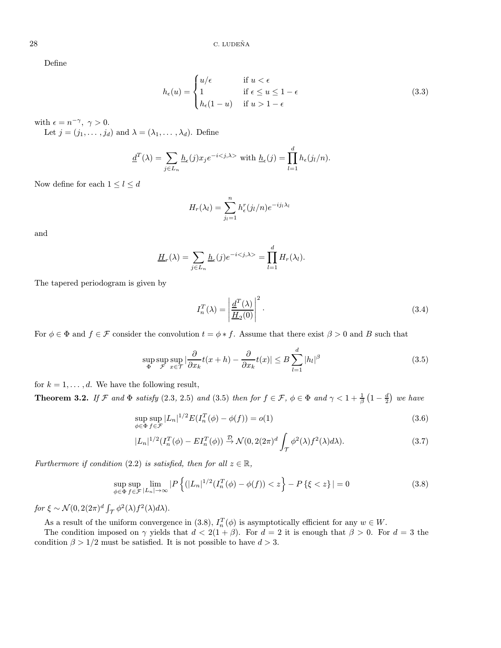Define

$$
h_{\epsilon}(u) = \begin{cases} u/\epsilon & \text{if } u < \epsilon \\ 1 & \text{if } \epsilon \le u \le 1 - \epsilon \\ h_{\epsilon}(1 - u) & \text{if } u > 1 - \epsilon \end{cases}
$$
(3.3)

with  $\epsilon = n^{-\gamma}, \gamma > 0.$ 

Let  $j = (j_1, \ldots, j_d)$  and  $\lambda = (\lambda_1, \ldots, \lambda_d)$ . Define

$$
\underline{d}^T(\lambda) = \sum_{j \in L_n} \underline{h}_{\epsilon}(j) x_j e^{-i \langle j, \lambda \rangle} \text{ with } \underline{h}_{\epsilon}(j) = \prod_{l=1}^d h_{\epsilon}(j_l/n).
$$

Now define for each  $1\leq l\leq d$ 

$$
H_r(\lambda_l) = \sum_{j_l=1}^n h_{\epsilon}^r(j_l/n) e^{-ij_l \lambda_l}
$$

and

$$
\underline{H}_r(\lambda) = \sum_{j \in L_n} \underline{h}_\epsilon(j) e^{-i \langle j, \lambda \rangle} = \prod_{l=1}^d H_r(\lambda_l).
$$

The tapered periodogram is given by

$$
I_n^T(\lambda) = \left| \frac{\underline{d}^T(\lambda)}{\underline{H}_2(0)} \right|^2.
$$
\n(3.4)

For  $\phi \in \Phi$  and  $f \in \mathcal{F}$  consider the convolution  $t = \phi * f$ . Assume that there exist  $\beta > 0$  and B such that

$$
\sup_{\Phi} \sup_{\mathcal{F}} \sup_{x \in \mathcal{T}} \left| \frac{\partial}{\partial x_k} t(x+h) - \frac{\partial}{\partial x_k} t(x) \right| \le B \sum_{l=1}^d |h_l|^\beta \tag{3.5}
$$

for  $k = 1, \ldots, d$ . We have the following result,

**Theorem 3.2.** If F and  $\Phi$  satisfy (2.3, 2.5) and (3.5) then for  $f \in \mathcal{F}$ ,  $\phi \in \Phi$  and  $\gamma < 1 + \frac{1}{\beta} (1 - \frac{d}{2})$  we have

$$
\sup_{\phi \in \Phi} \sup_{f \in \mathcal{F}} |L_n|^{1/2} E(I_n^T(\phi) - \phi(f)) = o(1)
$$
\n(3.6)

$$
|L_n|^{1/2} (I_n^T(\phi) - EI_n^T(\phi)) \stackrel{\mathcal{D}}{\rightarrow} \mathcal{N}(0, 2(2\pi)^d \int_{\mathcal{T}} \phi^2(\lambda) f^2(\lambda) d\lambda).
$$
 (3.7)

Furthermore if condition (2.2) is satisfied, then for all  $z \in \mathbb{R}$ ,

$$
\sup_{\phi \in \Phi} \sup_{f \in \mathcal{F}} \lim_{|L_n| \to \infty} |P\left\{ (|L_n|^{1/2} (I_n^T(\phi) - \phi(f)) < z \right\} - P\left\{ \xi < z \right\}| = 0 \tag{3.8}
$$

for  $\xi \sim \mathcal{N}(0, 2(2\pi)^d \int_{\mathcal{T}} \phi^2(\lambda) f^2(\lambda) d\lambda)$ .

As a result of the uniform convergence in (3.8),  $I_n^T(\phi)$  is asymptotically efficient for any  $w \in W$ .

The condition imposed on  $\gamma$  yields that  $d < 2(1 + \beta)$ . For  $d = 2$  it is enough that  $\beta > 0$ . For  $d = 3$  the condition  $\beta > 1/2$  must be satisfied. It is not possible to have  $d > 3$ .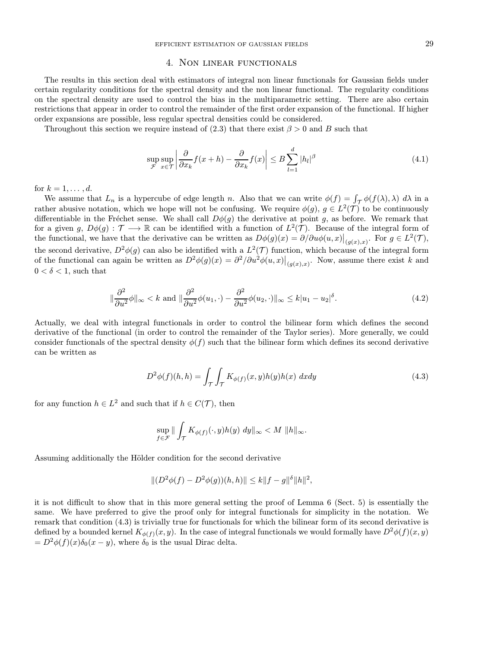## 4. Non linear functionals

The results in this section deal with estimators of integral non linear functionals for Gaussian fields under certain regularity conditions for the spectral density and the non linear functional. The regularity conditions on the spectral density are used to control the bias in the multiparametric setting. There are also certain restrictions that appear in order to control the remainder of the first order expansion of the functional. If higher order expansions are possible, less regular spectral densities could be considered.

Throughout this section we require instead of (2.3) that there exist  $\beta > 0$  and B such that

$$
\sup_{\mathcal{F}} \sup_{x \in \mathcal{T}} \left| \frac{\partial}{\partial x_k} f(x+h) - \frac{\partial}{\partial x_k} f(x) \right| \le B \sum_{l=1}^d |h_l|^\beta \tag{4.1}
$$

for  $k = 1, \ldots, d$ .

We assume that  $L_n$  is a hypercube of edge length n. Also that we can write  $\phi(f) = \int_{\mathcal{T}} \phi(f(\lambda), \lambda) d\lambda$  in a rather abusive notation, which we hope will not be confusing. We require  $\phi(g)$ ,  $g \in L^2(\mathcal{T})$  to be continuously differentiable in the Fréchet sense. We shall call  $D\phi(g)$  the derivative at point g, as before. We remark that for a given g,  $D\phi(g) : \mathcal{T} \longrightarrow \mathbb{R}$  can be identified with a function of  $L^2(\mathcal{T})$ . Because of the integral form of the functional, we have that the derivative can be written as  $D\phi(g)(x) = \partial/\partial u\phi(u,x)|_{(g(x),x)}$ . For  $g \in L^2(\mathcal{T})$ , the second derivative,  $D^2\phi(g)$  can also be identified with a  $L^2(\mathcal{T})$  function, which because of the integral form of the functional can again be written as  $D^2\phi(g)(x) = \frac{\partial^2}{\partial u^2 \phi(u,x)}\Big|_{(g(x),x)}$ . Now, assume there exist k and  $0 < \delta < 1$ , such that

$$
\|\frac{\partial^2}{\partial u^2}\phi\|_{\infty} < k \text{ and } \|\frac{\partial^2}{\partial u^2}\phi(u_1,\cdot) - \frac{\partial^2}{\partial u^2}\phi(u_2,\cdot)\|_{\infty} \le k|u_1 - u_2|^\delta. \tag{4.2}
$$

Actually, we deal with integral functionals in order to control the bilinear form which defines the second derivative of the functional (in order to control the remainder of the Taylor series). More generally, we could consider functionals of the spectral density  $\phi(f)$  such that the bilinear form which defines its second derivative can be written as

$$
D^{2}\phi(f)(h,h) = \int_{\mathcal{T}} \int_{\mathcal{T}} K_{\phi(f)}(x,y)h(y)h(x) \,dxdy \tag{4.3}
$$

for any function  $h \in L^2$  and such that if  $h \in C(\mathcal{T})$ , then

$$
\sup_{f\in\mathcal{F}}\|\int_{\mathcal{T}}K_{\phi(f)}(\cdot,y)h(y)\;dy\|_{\infty}
$$

Assuming additionally the Hölder condition for the second derivative

$$
||(D^{2}\phi(f) - D^{2}\phi(g))(h,h)|| \leq k||f - g||^{\delta}||h||^{2},
$$

it is not difficult to show that in this more general setting the proof of Lemma 6 (Sect. 5) is essentially the same. We have preferred to give the proof only for integral functionals for simplicity in the notation. We remark that condition (4.3) is trivially true for functionals for which the bilinear form of its second derivative is defined by a bounded kernel  $K_{\phi(f)}(x, y)$ . In the case of integral functionals we would formally have  $D^2\phi(f)(x, y)$  $= D^2 \phi(f)(x) \delta_0(x-y)$ , where  $\delta_0$  is the usual Dirac delta.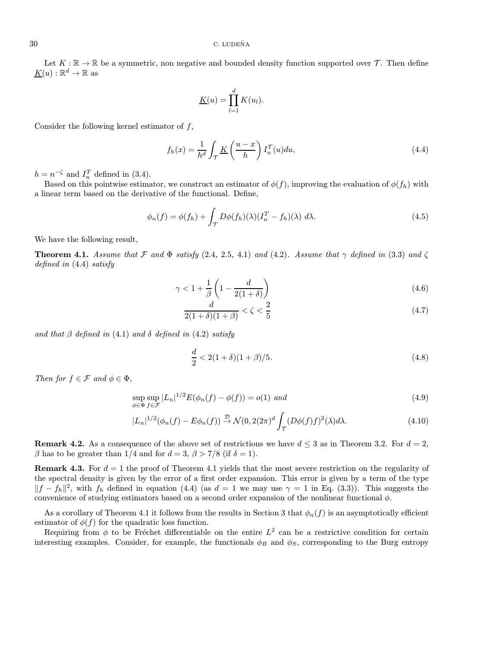Let  $K : \mathbb{R} \to \mathbb{R}$  be a symmetric, non negative and bounded density function supported over  $\mathcal{T}$ . Then define  $K(u): \mathbb{R}^d \to \mathbb{R}$  as

$$
\underline{K}(u) = \prod_{l=1}^d K(u_l).
$$

Consider the following kernel estimator of  $f$ ,

$$
f_h(x) = \frac{1}{h^d} \int_{\mathcal{T}} \underline{K}\left(\frac{u-x}{h}\right) I_n^T(u) du,
$$
\n(4.4)

 $h = n^{-\zeta}$  and  $I_n^T$  defined in (3.4).

Based on this pointwise estimator, we construct an estimator of  $\phi(f)$ , improving the evaluation of  $\phi(f_h)$  with a linear term based on the derivative of the functional. Define,

$$
\phi_n(f) = \phi(f_h) + \int_{\mathcal{T}} D\phi(f_h)(\lambda) (I_n^T - f_h)(\lambda) d\lambda.
$$
\n(4.5)

We have the following result,

**Theorem 4.1.** Assume that F and  $\Phi$  satisfy (2.4, 2.5, 4.1) and (4.2). Assume that  $\gamma$  defined in (3.3) and  $\zeta$ defined in (4.4) satisfy

$$
\gamma < 1 + \frac{1}{\beta} \left( 1 - \frac{d}{2(1+\delta)} \right) \tag{4.6}
$$

$$
\frac{d}{2(1+\delta)(1+\beta)} < \zeta < \frac{2}{5} \tag{4.7}
$$

and that  $\beta$  defined in (4.1) and  $\delta$  defined in (4.2) satisfy

$$
\frac{d}{2} < 2(1+\delta)(1+\beta)/5. \tag{4.8}
$$

Then for  $f \in \mathcal{F}$  and  $\phi \in \Phi$ ,

$$
\sup_{\phi \in \Phi} \sup_{f \in \mathcal{F}} |L_n|^{1/2} E(\phi_n(f) - \phi(f)) = o(1) \text{ and}
$$
\n(4.9)

$$
|L_n|^{1/2}(\phi_n(f) - E\phi_n(f)) \stackrel{\mathcal{D}}{\rightarrow} \mathcal{N}(0, 2(2\pi)^d \int_{\mathcal{T}} (D\phi(f)f)^2(\lambda)d\lambda.
$$
 (4.10)

**Remark 4.2.** As a consequence of the above set of restrictions we have  $d \leq 3$  as in Theorem 3.2. For  $d = 2$ ,  $\beta$  has to be greater than 1/4 and for  $d = 3$ ,  $\beta > 7/8$  (if  $\delta = 1$ ).

**Remark 4.3.** For  $d = 1$  the proof of Theorem 4.1 yields that the most severe restriction on the regularity of the spectral density is given by the error of a first order expansion. This error is given by a term of the type  $||f - f_h||^2$ , with  $f_h$  defined in equation (4.4) (as  $d = 1$  we may use  $\gamma = 1$  in Eq. (3.3)). This suggests the convenience of studying estimators based on a second order expansion of the nonlinear functional  $\phi$ .

As a corollary of Theorem 4.1 it follows from the results in Section 3 that  $\phi_n(f)$  is an asymptotically efficient estimator of  $\phi(f)$  for the quadratic loss function.

Requiring from  $\phi$  to be Fréchet differentiable on the entire  $L^2$  can be a restrictive condition for certain interesting examples. Consider, for example, the functionals  $\phi_B$  and  $\phi_S$ , corresponding to the Burg entropy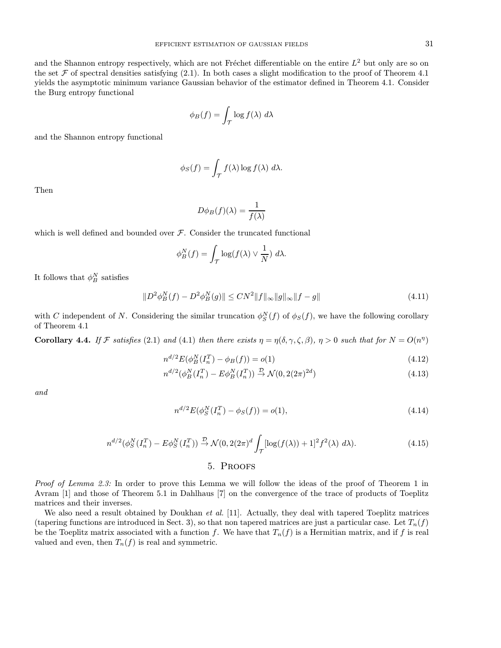and the Shannon entropy respectively, which are not Fréchet differentiable on the entire  $L^2$  but only are so on the set F of spectral densities satisfying  $(2.1)$ . In both cases a slight modification to the proof of Theorem 4.1 yields the asymptotic minimum variance Gaussian behavior of the estimator defined in Theorem 4.1. Consider the Burg entropy functional

$$
\phi_B(f) = \int_{\mathcal{T}} \log f(\lambda) \ d\lambda
$$

and the Shannon entropy functional

$$
\phi_S(f) = \int_{\mathcal{T}} f(\lambda) \log f(\lambda) \ d\lambda.
$$

Then

$$
D\phi_B(f)(\lambda) = \frac{1}{f(\lambda)}
$$

which is well defined and bounded over  $F$ . Consider the truncated functional

$$
\phi_B^N(f) = \int_{\mathcal{T}} \log(f(\lambda) \vee \frac{1}{N}) \, d\lambda.
$$

It follows that  $\phi_B^N$  satisfies

$$
||D^{2}\phi_{B}^{N}(f) - D^{2}\phi_{B}^{N}(g)|| \le CN^{2}||f||_{\infty}||g||_{\infty}||f - g|| \tag{4.11}
$$

with C independent of N. Considering the similar truncation  $\phi_S^N(f)$  of  $\phi_S(f)$ , we have the following corollary of Theorem 4.1

**Corollary 4.4.** If F satisfies (2.1) and (4.1) then there exists  $\eta = \eta(\delta, \gamma, \zeta, \beta)$ ,  $\eta > 0$  such that for  $N = O(n^{\eta})$ 

$$
n^{d/2} E(\phi_B^N(I_n^T) - \phi_B(f)) = o(1)
$$
\n(4.12)

$$
n^{d/2}(\phi_B^N(I_n^T) - E\phi_B^N(I_n^T)) \xrightarrow{\mathcal{D}} \mathcal{N}(0, 2(2\pi)^{2d})
$$
\n(4.13)

and

$$
n^{d/2} E(\phi_S^N(I_n^T) - \phi_S(f)) = o(1), \tag{4.14}
$$

$$
n^{d/2}(\phi_S^N(I_n^T) - E\phi_S^N(I_n^T)) \stackrel{\mathcal{D}}{\rightarrow} \mathcal{N}(0, 2(2\pi)^d \int_{\mathcal{T}} [\log(f(\lambda)) + 1]^2 f^2(\lambda) d\lambda). \tag{4.15}
$$

## 5. Proofs

Proof of Lemma 2.3: In order to prove this Lemma we will follow the ideas of the proof of Theorem 1 in Avram [1] and those of Theorem 5.1 in Dahlhaus [7] on the convergence of the trace of products of Toeplitz matrices and their inverses.

We also need a result obtained by Doukhan et al. [11]. Actually, they deal with tapered Toeplitz matrices (tapering functions are introduced in Sect. 3), so that non tapered matrices are just a particular case. Let  $T_n(f)$ be the Toeplitz matrix associated with a function f. We have that  $T_n(f)$  is a Hermitian matrix, and if f is real valued and even, then  $T_n(f)$  is real and symmetric.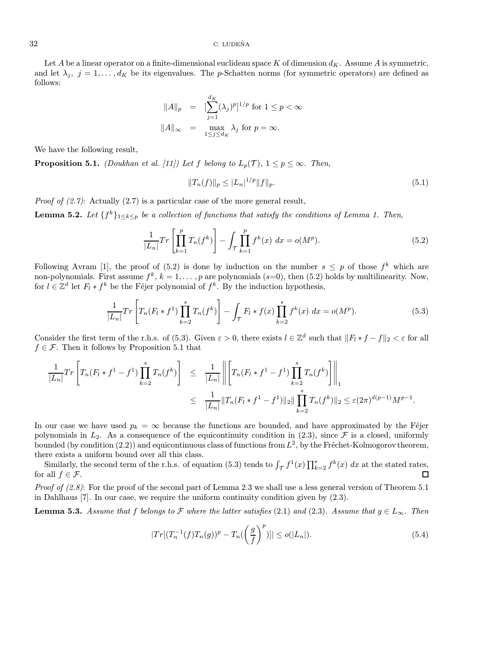#### $32$  C. LUDEÑA

Let A be a linear operator on a finite-dimensional euclidean space K of dimension  $d_K$ . Assume A is symmetric, and let  $\lambda_j$ ,  $j = 1, \ldots, d_K$  be its eigenvalues. The p-Schatten norms (for symmetric operators) are defined as follows:

$$
||A||_p = [\sum_{j=1}^{d_K} (\lambda_j)^p]^{1/p} \text{ for } 1 \le p < \infty
$$
  

$$
||A||_{\infty} = \max_{1 \le j \le d_K} \lambda_j \text{ for } p = \infty.
$$

We have the following result,

**Proposition 5.1.** (Doukhan et al. [11]) Let f belong to  $L_p(\mathcal{T})$ ,  $1 \leq p \leq \infty$ . Then,

$$
||T_n(f)||_p \le |L_n|^{1/p} ||f||_p. \tag{5.1}
$$

*Proof of*  $(2.7)$ *:* Actually  $(2.7)$  is a particular case of the more general result,

**Lemma 5.2.** Let  $\{f^k\}_{1\leq k\leq p}$  be a collection of functions that satisfy the conditions of Lemma 1. Then,

$$
\frac{1}{|L_n|} Tr\left[\prod_{k=1}^p T_n(f^k)\right] - \int_{\mathcal{T}} \prod_{k=1}^p f^k(x) \, dx = o(M^p). \tag{5.2}
$$

Following Avram [1], the proof of (5.2) is done by induction on the number  $s \leq p$  of those  $f^k$  which are non-polynomials. First assume  $f^k$ ,  $k = 1, ..., p$  are polynomials (s=0), then (5.2) holds by multilinearity. Now, for  $l \in \mathbb{Z}^d$  let  $F_l * f^k$  be the Féjer polynomial of  $f^k$ . By the induction hypothesis,

$$
\frac{1}{|L_n|} Tr \left[ T_n(F_l * f^1) \prod_{k=2}^s T_n(f^k) \right] - \int_{\mathcal{T}} F_l * f(x) \prod_{k=2}^s f^k(x) dx = o(M^p).
$$
 (5.3)

Consider the first term of the r.h.s. of (5.3). Given  $\varepsilon > 0$ , there exists  $l \in \mathbb{Z}^d$  such that  $||F_l * f - f||_2 < \varepsilon$  for all  $f \in \mathcal{F}$ . Then it follows by Proposition 5.1 that

$$
\frac{1}{|L_n|} Tr \left[ T_n(F_l * f^1 - f^1) \prod_{k=2}^s T_n(f^k) \right] \leq \frac{1}{|L_n|} \left\| \left[ T_n(F_l * f^1 - f^1) \prod_{k=2}^s T_n(f^k) \right] \right\|_1
$$
  

$$
\leq \frac{1}{|L_n|} \| T_n(F_l * f^1 - f^1) \|_2 \| \prod_{k=2}^s T_n(f^k) \|_2 \leq \varepsilon (2\pi)^{d(p-1)} M^{p-1}.
$$

In our case we have used  $p_k = \infty$  because the functions are bounded, and have approximated by the Féjer polynomials in  $L_2$ . As a consequence of the equicontinuity condition in (2.3), since  $\mathcal F$  is a closed, uniformly bounded (by condition  $(2.2)$ ) and equicontinuous class of functions from  $L^2$ , by the Fréchet-Kolmogorov theorem, there exists a uniform bound over all this class.

Similarly, the second term of the r.h.s. of equation (5.3) tends to  $\int_{\mathcal{T}} f^1(x) \prod_{k=2}^s f^k(x) dx$  at the stated rates, for all  $f \in \mathcal{F}$ .  $\Box$ 

*Proof of*  $(2.8)$ *:* For the proof of the second part of Lemma 2.3 we shall use a less general version of Theorem 5.1 in Dahlhaus [7]. In our case, we require the uniform continuity condition given by (2.3).

**Lemma 5.3.** Assume that f belongs to F where the latter satisfies (2.1) and (2.3). Assume that  $g \in L_{\infty}$ . Then

$$
|Tr[(T_n^{-1}(f)T_n(g))^p - T_n(\left(\frac{g}{f}\right)^p)]| \le o(|L_n|). \tag{5.4}
$$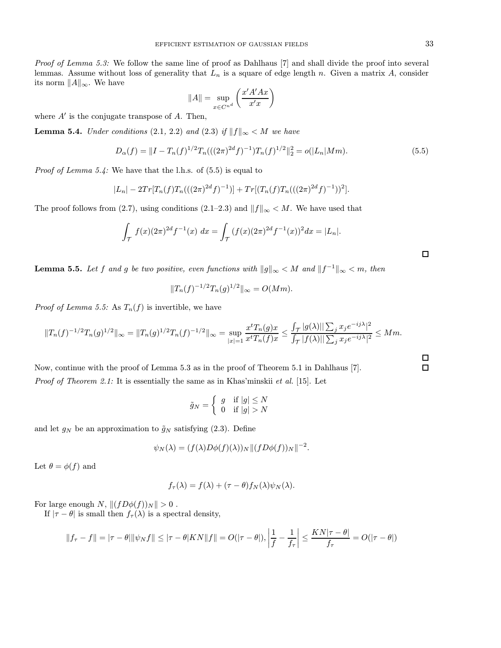Proof of Lemma 5.3: We follow the same line of proof as Dahlhaus [7] and shall divide the proof into several lemmas. Assume without loss of generality that  $L_n$  is a square of edge length n. Given a matrix A, consider its norm  $||A||_{\infty}$ . We have

$$
||A|| = \sup_{x \in C^{n^d}} \left( \frac{x'A'Ax}{x'x} \right)
$$

where  $A'$  is the conjugate transpose of  $A$ . Then,

**Lemma 5.4.** Under conditions (2.1, 2.2) and (2.3) if  $||f||_{\infty} < M$  we have

$$
D_{\alpha}(f) = ||I - T_n(f)^{1/2}T_n(((2\pi)^{2d}f)^{-1})T_n(f)^{1/2}||_2^2 = o(|L_n|Mm).
$$
\n(5.5)

*Proof of Lemma 5.4:* We have that the l.h.s. of  $(5.5)$  is equal to

$$
|L_n| - 2Tr[T_n(f)T_n(((2\pi)^{2d}f)^{-1})] + Tr[(T_n(f)T_n(((2\pi)^{2d}f)^{-1}))^2].
$$

The proof follows from (2.7), using conditions (2.1–2.3) and  $||f||_{\infty} < M$ . We have used that

$$
\int_{\mathcal{T}} f(x)(2\pi)^{2d} f^{-1}(x) dx = \int_{\mathcal{T}} (f(x)(2\pi)^{2d} f^{-1}(x))^2 dx = |L_n|.
$$

**Lemma 5.5.** Let f and g be two positive, even functions with  $||g||_{\infty} < M$  and  $||f^{-1}||_{\infty} < m$ , then

$$
||T_n(f)^{-1/2}T_n(g)^{1/2}||_{\infty} = O(Mm).
$$

*Proof of Lemma 5.5:* As  $T_n(f)$  is invertible, we have

$$
||T_n(f)^{-1/2}T_n(g)^{1/2}||_{\infty} = ||T_n(g)^{1/2}T_n(f)^{-1/2}||_{\infty} = \sup_{|x|=1} \frac{x^t T_n(g)x}{x^t T_n(f)x} \le \frac{\int_{\mathcal{T}} |g(\lambda)|| \sum_j x_j e^{-ij\lambda}|^2}{\int_{\mathcal{T}} |f(\lambda)|| \sum_j x_j e^{-ij\lambda}|^2} \le Mm.
$$

Now, continue with the proof of Lemma 5.3 as in the proof of Theorem 5.1 in Dahlhaus [7]. Proof of Theorem 2.1: It is essentially the same as in Khas'minskii et al. [15]. Let

$$
\tilde{g}_N = \left\{ \begin{array}{ll} g & \text{if } |g| \leq N \\ 0 & \text{if } |g| > N \end{array} \right.
$$

and let  $g_N$  be an approximation to  $\tilde{g}_N$  satisfying (2.3). Define

$$
\psi_N(\lambda) = (f(\lambda)D\phi(f)(\lambda))_N \|(fD\phi(f))_N\|^{-2}.
$$

Let  $\theta = \phi(f)$  and

$$
f_{\tau}(\lambda) = f(\lambda) + (\tau - \theta) f_N(\lambda) \psi_N(\lambda).
$$

For large enough N,  $||(fD\phi(f))_N|| > 0$ .

If  $|\tau - \theta|$  is small then  $f_{\tau}(\lambda)$  is a spectral density,

$$
||f_{\tau} - f|| = |\tau - \theta| ||\psi_N f|| \le |\tau - \theta| K N ||f|| = O(|\tau - \theta|), \left|\frac{1}{f} - \frac{1}{f_{\tau}}\right| \le \frac{K N |\tau - \theta|}{f_{\tau}} = O(|\tau - \theta|)
$$

 $\Box$ 

 $\Box$  $\Box$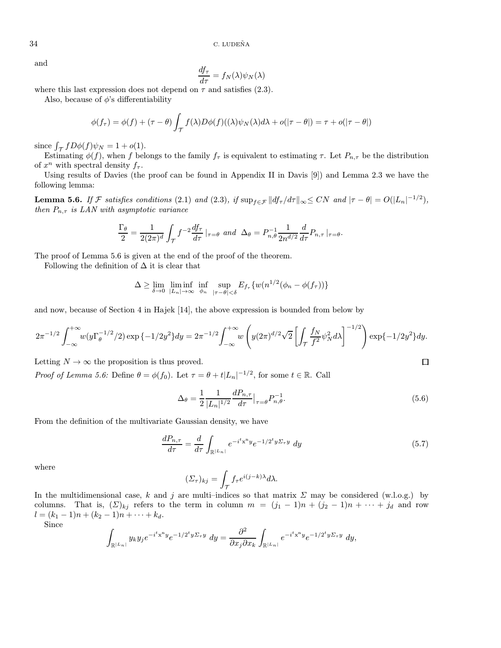and

$$
\frac{df_{\tau}}{d\tau} = f_N(\lambda)\psi_N(\lambda)
$$

where this last expression does not depend on  $\tau$  and satisfies (2.3).

Also, because of  $\phi$ 's differentiability

$$
\phi(f_{\tau}) = \phi(f) + (\tau - \theta) \int_{\mathcal{T}} f(\lambda) D\phi(f)((\lambda)\psi_N(\lambda)d\lambda + o(|\tau - \theta|) = \tau + o(|\tau - \theta|)
$$

since  $\int_{\mathcal{T}} f D\phi(f) \psi_N = 1 + o(1)$ .

Estimating  $\phi(f)$ , when f belongs to the family  $f_{\tau}$  is equivalent to estimating  $\tau$ . Let  $P_{n,\tau}$  be the distribution of  $x^n$  with spectral density  $f_\tau$ .

Using results of Davies (the proof can be found in Appendix II in Davis [9]) and Lemma 2.3 we have the following lemma:

**Lemma 5.6.** If F satisfies conditions (2.1) and (2.3), if  $\sup_{f \in \mathcal{F}} ||df_{\tau}/d\tau||_{\infty} \leq CN$  and  $|\tau - \theta| = O(|L_n|^{-1/2})$ , then  $P_{n,\tau}$  is LAN with asymptotic variance

$$
\frac{\Gamma_{\theta}}{2} = \frac{1}{2(2\pi)^{d}} \int_{\mathcal{T}} f^{-2} \frac{df_{\tau}}{d\tau} \mid_{\tau=\theta} \text{ and } \Delta_{\theta} = P_{n,\theta}^{-1} \frac{1}{2n^{d/2}} \frac{d}{d\tau} P_{n,\tau} \mid_{\tau=\theta}.
$$

The proof of Lemma 5.6 is given at the end of the proof of the theorem.

Following the definition of  $\Delta$  it is clear that

$$
\Delta \geq \lim_{\delta \to 0} \liminf_{|L_n| \to \infty} \inf_{\phi_n} \sup_{|\tau - \theta| < \delta} E_{f_\tau} \{ w(n^{1/2}(\phi_n - \phi(f_\tau)) \}
$$

and now, because of Section 4 in Hajek [14], the above expression is bounded from below by

$$
2\pi^{-1/2} \int_{-\infty}^{+\infty} w(y \Gamma_{\theta}^{-1/2}/2) \exp\{-1/2y^2\} dy = 2\pi^{-1/2} \int_{-\infty}^{+\infty} w \left( y(2\pi)^{d/2} \sqrt{2} \left[ \int_{\mathcal{T}} \frac{f_N}{f^2} \psi_N^2 d\lambda \right]^{-1/2} \right) \exp\{-1/2y^2\} dy.
$$

Letting  $N \to \infty$  the proposition is thus proved.

*Proof of Lemma 5.6:* Define  $\theta = \phi(f_0)$ . Let  $\tau = \theta + t|L_n|^{-1/2}$ , for some  $t \in \mathbb{R}$ . Call

$$
\Delta_{\theta} = \frac{1}{2} \frac{1}{|L_n|^{1/2}} \frac{dP_{n,\tau}}{d\tau} \big|_{\tau = \theta} P_{n,\theta}^{-1}.
$$
\n(5.6)

 $\Box$ 

From the definition of the multivariate Gaussian density, we have

$$
\frac{dP_{n,\tau}}{d\tau} = \frac{d}{d\tau} \int_{\mathbb{R}^{|L_n|}} e^{-i^t x^n y} e^{-1/2^t y \Sigma_\tau y} dy \tag{5.7}
$$

where

$$
(\Sigma_{\tau})_{kj} = \int_{\mathcal{T}} f_{\tau} e^{i(j-k)\lambda} d\lambda.
$$

In the multidimensional case, k and j are multi-indices so that matrix  $\Sigma$  may be considered (w.l.o.g.) by columns. That is,  $(\Sigma)_{kj}$  refers to the term in column  $m = (j_1 - 1)n + (j_2 - 1)n + \cdots + j_d$  and row  $l = (k_1 - 1)n + (k_2 - 1)n + \cdots + k_d.$ 

Since

$$
\int_{\mathbb{R}^{|L_n|}} y_k y_j e^{-i^t x^n y} e^{-1/2^t y \Sigma_\tau y} dy = \frac{\partial^2}{\partial x_j \partial x_k} \int_{\mathbb{R}^{|L_n|}} e^{-i^t x^n y} e^{-1/2^t y \Sigma_\tau y} dy,
$$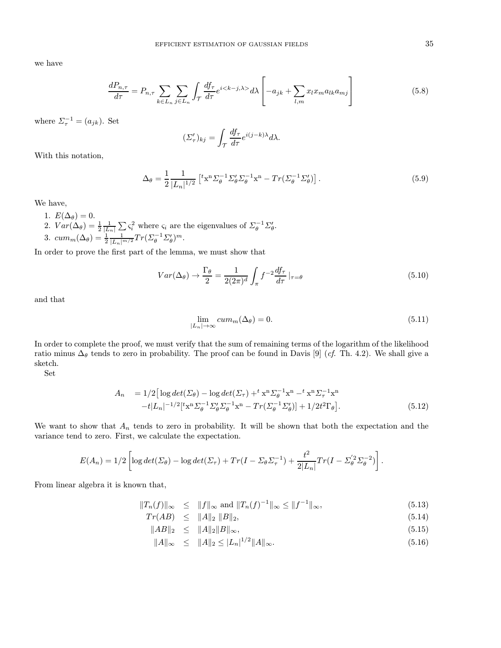we have

$$
\frac{dP_{n,\tau}}{d\tau} = P_{n,\tau} \sum_{k \in L_n} \sum_{j \in L_n} \int_{\mathcal{T}} \frac{df_{\tau}}{d\tau} e^{i \langle k-j, \lambda \rangle} d\lambda \left[ -a_{jk} + \sum_{l,m} x_l x_m a_{lk} a_{mj} \right]
$$
(5.8)

where  $\Sigma_{\tau}^{-1} = (a_{jk})$ . Set

$$
(\Sigma'_{\tau})_{kj} = \int_{\mathcal{T}} \frac{df_{\tau}}{d\tau} e^{i(j-k)\lambda} d\lambda.
$$

With this notation,

$$
\Delta_{\theta} = \frac{1}{2} \frac{1}{|L_n|^{1/2}} \left[ {}^{t}x^{n} \Sigma_{\theta}^{-1} \Sigma_{\theta}^{\prime} \Sigma_{\theta}^{-1} x^{n} - Tr(\Sigma_{\theta}^{-1} \Sigma_{\theta}^{\prime}) \right]. \tag{5.9}
$$

We have,

- 1.  $E(\Delta_{\theta})=0$ .
- 2.  $Var(\Delta_{\theta}) = \frac{1}{2} \frac{1}{|L_n|} \sum \zeta_i^2$  where  $\zeta_i$  are the eigenvalues of  $\sum_{\theta}^{-1} \sum_{\theta}$ . 3.  $cum_m(\Delta_{\theta}) = \frac{1}{2} \frac{1}{|L_n|^{m/2}} Tr(\Sigma_{\theta}^{-1} \Sigma_{\theta}')^m$ .

In order to prove the first part of the lemma, we must show that

$$
Var(\Delta_{\theta}) \to \frac{\Gamma_{\theta}}{2} = \frac{1}{2(2\pi)^{d}} \int_{\pi} f^{-2} \frac{df_{\tau}}{d\tau} \Big|_{\tau=\theta}
$$
(5.10)

and that

$$
\lim_{|L_n| \to \infty} cum_m(\Delta_\theta) = 0. \tag{5.11}
$$

In order to complete the proof, we must verify that the sum of remaining terms of the logarithm of the likelihood ratio minus  $\Delta_{\theta}$  tends to zero in probability. The proof can be found in Davis [9] (*cf.* Th. 4.2). We shall give a sketch.

Set

$$
A_n = 1/2 \left[ \log \det (\Sigma_{\theta}) - \log \det (\Sigma_{\tau}) + ^t x^n \Sigma_{\theta}^{-1} x^n - ^t x^n \Sigma_{\tau}^{-1} x^n - t |L_n|^{-1/2} [t x^n \Sigma_{\theta}^{-1} \Sigma_{\theta}^{\prime} \Sigma_{\theta}^{-1} x^n - Tr(\Sigma_{\theta}^{-1} \Sigma_{\theta}^{\prime})] + 1/2t^2 \Gamma_{\theta} \right].
$$
\n(5.12)

We want to show that  $A_n$  tends to zero in probability. It will be shown that both the expectation and the variance tend to zero. First, we calculate the expectation.

$$
E(A_n) = 1/2 \left[ \log det(\Sigma_{\theta}) - \log det(\Sigma_{\tau}) + Tr(I - \Sigma_{\theta} \Sigma_{\tau}^{-1}) + \frac{t^2}{2|L_n|} Tr(I - \Sigma_{\theta}^{'2} \Sigma_{\theta}^{-2}) \right].
$$

From linear algebra it is known that,

$$
||T_n(f)||_{\infty} \le ||f||_{\infty}
$$
 and  $||T_n(f)^{-1}||_{\infty} \le ||f^{-1}||_{\infty}$ , (5.13)

$$
Tr(AB) \leq \|A\|_2 \|B\|_2, \tag{5.14}
$$

$$
||AB||_2 \le ||A||_2 ||B||_{\infty}, \tag{5.15}
$$

$$
||A||_{\infty} \le ||A||_2 \le |L_n|^{1/2} ||A||_{\infty}.
$$
\n(5.16)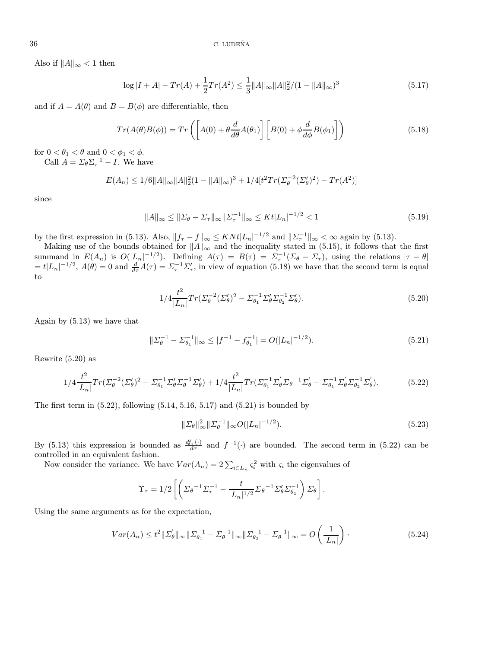Also if  $||A||_{\infty} < 1$  then

$$
\log|I+A|-Tr(A)+\frac{1}{2}Tr(A^2) \le \frac{1}{3}||A||_{\infty}||A||_2^2/(1-||A||_{\infty})^3
$$
\n(5.17)

and if  $A = A(\theta)$  and  $B = B(\phi)$  are differentiable, then

$$
Tr(A(\theta)B(\phi)) = Tr\left(\left[A(0) + \theta \frac{d}{d\theta}A(\theta_1)\right] \left[B(0) + \phi \frac{d}{d\phi}B(\phi_1)\right]\right)
$$
(5.18)

for  $0 < \theta_1 < \theta$  and  $0 < \phi_1 < \phi$ . Call  $A = \Sigma_{\theta} \Sigma_{\tau}^{-1} - I$ . We have

$$
E(A_n) \le 1/6 ||A||_{\infty} ||A||_2^2 (1 - ||A||_{\infty})^3 + 1/4 [t^2 Tr(\Sigma_{\theta}^{-2} (\Sigma_{\theta}')^2) - Tr(A^2)]
$$

since

$$
||A||_{\infty} \le ||\Sigma_{\theta} - \Sigma_{\tau}||_{\infty} ||\Sigma_{\tau}^{-1}||_{\infty} \le K t |L_n|^{-1/2} < 1
$$
\n(5.19)

by the first expression in (5.13). Also,  $||f_{\tau} - f||_{\infty} \leq KNt|L_n|^{-1/2}$  and  $||\Sigma_{\tau}^{-1}||_{\infty} < \infty$  again by (5.13).

Making use of the bounds obtained for  $||A||_{\infty}$  and the inequality stated in (5.15), it follows that the first summand in  $E(A_n)$  is  $O(|L_n|^{-1/2})$ . Defining  $A(\tau) = B(\tau) = \Sigma_{\tau}^{-1}(\Sigma_{\theta} - \Sigma_{\tau})$ , using the relations  $|\tau - \theta|$  $= t|L_n|^{-1/2}$ ,  $A(\theta) = 0$  and  $\frac{d}{d\tau}A(\tau) = \Sigma_\tau^{-1}\Sigma_\tau'$ , in view of equation (5.18) we have that the second term is equal to

$$
1/4 \frac{t^2}{|L_n|} Tr(\Sigma_{\theta}^{-2} (\Sigma_{\theta}')^2 - \Sigma_{\theta_1}^{-1} \Sigma_{\theta}' \Sigma_{\theta_2}^{-1} \Sigma_{\theta}').
$$
 (5.20)

Again by (5.13) we have that

$$
\|\Sigma_{\theta}^{-1} - \Sigma_{\theta_1}^{-1}\|_{\infty} \le |f^{-1} - f_{\theta_1}^{-1}| = O(|L_n|^{-1/2}).\tag{5.21}
$$

Rewrite (5.20) as

$$
1/4\frac{t^2}{|L_n|}Tr(\Sigma_{\theta}^{-2}(\Sigma_{\theta}')^2 - \Sigma_{\theta_1}^{-1}\Sigma_{\theta}'\Sigma_{\theta}^{-1}\Sigma_{\theta}') + 1/4\frac{t^2}{|L_n|}Tr(\Sigma_{\theta_1}^{-1}\Sigma_{\theta}'\Sigma_{\theta}^{-1}\Sigma_{\theta}' - \Sigma_{\theta_1}^{-1}\Sigma_{\theta}'\Sigma_{\theta_2}^{-1}\Sigma_{\theta}').
$$
 (5.22)

The first term in  $(5.22)$ , following  $(5.14, 5.16, 5.17)$  and  $(5.21)$  is bounded by

$$
\|\Sigma_{\theta}\|_{\infty}^2 \|\Sigma_{\theta}^{-1}\|_{\infty} O(|L_n|^{-1/2}).
$$
\n(5.23)

By (5.13) this expression is bounded as  $\frac{df_{\tau}(\cdot)}{d\tau}$  and  $f^{-1}(\cdot)$  are bounded. The second term in (5.22) can be controlled in an equivalent fashion.

Now consider the variance. We have  $Var(A_n) = 2\sum_{i \in L_n} \varsigma_i^2$  with  $\varsigma_i$  the eigenvalues of

$$
\Upsilon_{\tau} = 1/2 \left[ \left( \Sigma_{\theta}^{-1} \Sigma_{\tau}^{-1} - \frac{t}{|L_n|^{1/2}} \Sigma_{\theta}^{-1} \Sigma_{\theta}' \Sigma_{\theta_1}^{-1} \right) \Sigma_{\theta} \right].
$$

Using the same arguments as for the expectation,

$$
Var(A_n) \le t^2 \|\Sigma_{\theta}'\|_{\infty} \|\Sigma_{\theta_1}^{-1} - \Sigma_{\theta}^{-1}\|_{\infty} \|\Sigma_{\theta_2}^{-1} - \Sigma_{\theta}^{-1}\|_{\infty} = O\left(\frac{1}{|L_n|}\right). \tag{5.24}
$$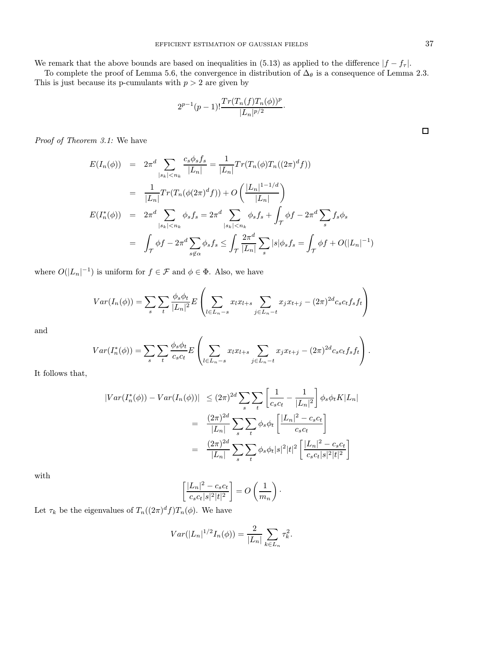We remark that the above bounds are based on inequalities in (5.13) as applied to the difference  $|f - f_\tau|$ .

To complete the proof of Lemma 5.6, the convergence in distribution of  $\Delta_{\theta}$  is a consequence of Lemma 2.3. This is just because its p-cumulants with  $p > 2$  are given by

$$
2^{p-1}(p-1)! \frac{Tr(T_n(f)T_n(\phi))^p}{|L_n|^{p/2}}.
$$

Proof of Theorem 3.1: We have

$$
E(I_n(\phi)) = 2\pi^d \sum_{|s_k| < n_k} \frac{c_s \phi_s f_s}{|L_n|} = \frac{1}{|L_n|} Tr(T_n(\phi)T_n((2\pi)^d f))
$$
\n
$$
= \frac{1}{|L_n|} Tr(T_n(\phi(2\pi)^d f)) + O\left(\frac{|L_n|^{1-1/d}}{|L_n|}\right)
$$
\n
$$
E(I_n^*(\phi)) = 2\pi^d \sum_{|s_k| < n_k} \phi_s f_s = 2\pi^d \sum_{|s_k| < n_k} \phi_s f_s + \int_{\mathcal{T}} \phi f - 2\pi^d \sum_s f_s \phi_s
$$
\n
$$
= \int_{\mathcal{T}} \phi f - 2\pi^d \sum_{s \notin \alpha} \phi_s f_s \le \int_{\mathcal{T}} \frac{2\pi^d}{|L_n|} \sum_s |s| \phi_s f_s = \int_{\mathcal{T}} \phi f + O(|L_n|^{-1})
$$

where  $O(|L_n|^{-1})$  is uniform for  $f \in \mathcal{F}$  and  $\phi \in \Phi$ . Also, we have

$$
Var(I_n(\phi)) = \sum_{s} \sum_{t} \frac{\phi_s \phi_t}{|L_n|^2} E\left(\sum_{l \in L_n - s} x_l x_{l+s} \sum_{j \in L_n - t} x_j x_{t+j} - (2\pi)^{2d} c_s c_t f_s f_t\right)
$$

and

$$
Var(I_n^*(\phi)) = \sum_{s} \sum_{t} \frac{\phi_s \phi_t}{c_s c_t} E\left(\sum_{l \in L_n - s} x_l x_{l+s} \sum_{j \in L_n - t} x_j x_{t+j} - (2\pi)^{2d} c_s c_t f_s f_t\right).
$$

It follows that,

$$
|Var(I_n^*(\phi)) - Var(I_n(\phi))| \le (2\pi)^{2d} \sum_{s} \sum_{t} \left[ \frac{1}{c_s c_t} - \frac{1}{|L_n|^2} \right] \phi_s \phi_t K |L_n|
$$
  

$$
= \frac{(2\pi)^{2d}}{|L_n|} \sum_{s} \sum_{t} \phi_s \phi_t \left[ \frac{|L_n|^2 - c_s c_t}{c_s c_t} \right]
$$
  

$$
= \frac{(2\pi)^{2d}}{|L_n|} \sum_{s} \sum_{t} \phi_s \phi_t |s|^2 |t|^2 \left[ \frac{|L_n|^2 - c_s c_t}{c_s c_t |s|^2 |t|^2} \right]
$$

with

$$
\left[\frac{|L_n|^2 - c_s c_t}{c_s c_t |s|^2 |t|^2}\right] = O\left(\frac{1}{m_n}\right).
$$

Let  $\tau_k$  be the eigenvalues of  $T_n((2\pi)^d f)T_n(\phi)$ . We have

$$
Var(|L_n|^{1/2}I_n(\phi)) = \frac{2}{|L_n|} \sum_{k \in L_n} \tau_k^2.
$$

 $\Box$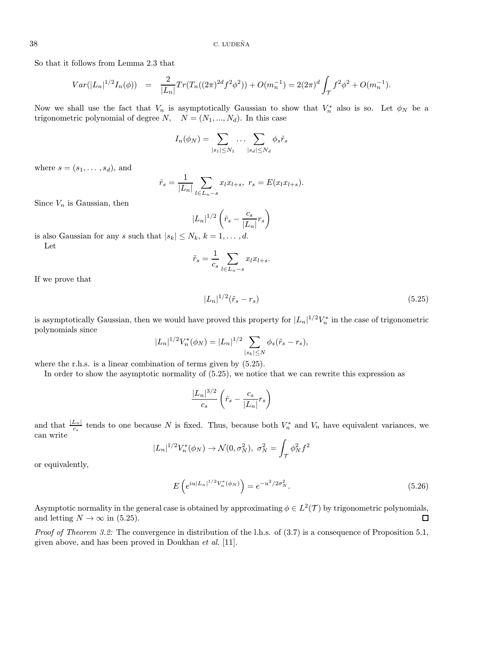So that it follows from Lemma 2.3 that

$$
Var(|L_n|^{1/2}I_n(\phi)) = \frac{2}{|L_n|}Tr(T_n((2\pi)^{2d}f^2\phi^2)) + O(m_n^{-1}) = 2(2\pi)^d \int_{\mathcal{T}} f^2\phi^2 + O(m_n^{-1}).
$$

Now we shall use the fact that  $V_n$  is asymptotically Gaussian to show that  $V_n^*$  also is so. Let  $\phi_N$  be a trigonometric polynomial of degree  $N$ ,  $N = (N_1, ..., N_d)$ . In this case

$$
I_n(\phi_N) = \sum_{|s_1| \leq N_1} \ldots \sum_{|s_d| \leq N_d} \phi_s \hat{r}_s
$$

where  $s = (s_1, \ldots, s_d)$ , and

$$
\hat{r}_s = \frac{1}{|L_n|} \sum_{l \in L_n - s} x_l x_{l+s}, \ r_s = E(x_l x_{l+s}).
$$

Since  $V_n$  is Gaussian, then

$$
|L_n|^{1/2} \left(\hat{r}_s - \frac{c_s}{|L_n|} r_s\right)
$$

is also Gaussian for any s such that  $|s_k| \leq N_k$ ,  $k = 1, \ldots, d$ . Let

$$
\tilde{r}_s = \frac{1}{c_s} \sum_{l \in L_n - s} x_l x_{l+s}.
$$

If we prove that

$$
|L_n|^{1/2}(\tilde{r}_s - r_s)
$$
\n(5.25)

is asymptotically Gaussian, then we would have proved this property for  $|L_n|^{1/2}V_n^*$  in the case of trigonometric polynomials since

$$
|L_n|^{1/2} V_n^*(\phi_N) = |L_n|^{1/2} \sum_{|s_k| \le N} \phi_s(\tilde{r}_s - r_s),
$$

where the r.h.s. is a linear combination of terms given by  $(5.25)$ .

In order to show the asymptotic normality of (5.25), we notice that we can rewrite this expression as

$$
\frac{|L_n|^{3/2}}{c_s} \left(\hat{r}_s - \frac{c_s}{|L_n|} r_s\right)
$$

and that  $\frac{|L_n|}{c_s}$  tends to one because N is fixed. Thus, because both  $V_n^*$  and  $V_n$  have equivalent variances, we can write

$$
|L_n|^{1/2}V_n^*(\phi_N) \to \mathcal{N}(0, \sigma_N^2), \ \sigma_N^2 = \int_{\mathcal{T}} \phi_N^2 f^2
$$

or equivalently,

$$
E\left(e^{iu|L_n|^{1/2}V_n^*(\phi_N)}\right) = e^{-u^2/2\sigma_N^2}.
$$
\n(5.26)

Asymptotic normality in the general case is obtained by approximating  $\phi \in L^2(\mathcal{T})$  by trigonometric polynomials, and letting  $N \to \infty$  in (5.25).  $\Box$ 

*Proof of Theorem 3.2:* The convergence in distribution of the l.h.s. of  $(3.7)$  is a consequence of Proposition 5.1, given above, and has been proved in Doukhan et al. [11].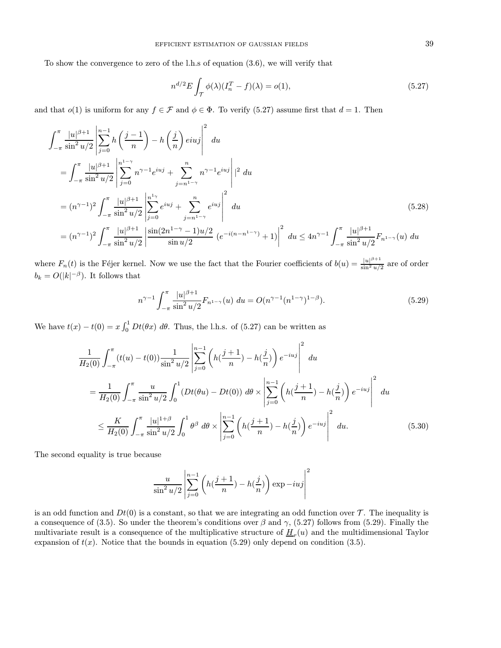To show the convergence to zero of the l.h.s of equation (3.6), we will verify that

$$
n^{d/2}E\int_{\mathcal{T}}\phi(\lambda)(I_n^T - f)(\lambda) = o(1),\tag{5.27}
$$

and that  $o(1)$  is uniform for any  $f \in \mathcal{F}$  and  $\phi \in \Phi$ . To verify (5.27) assume first that  $d = 1$ . Then

$$
\int_{-\pi}^{\pi} \frac{|u|^{\beta+1}}{\sin^2 u/2} \left| \sum_{j=0}^{n-1} h\left(\frac{j-1}{n}\right) - h\left(\frac{j}{n}\right) e^{i u j} \right|^2 du
$$
\n
$$
= \int_{-\pi}^{\pi} \frac{|u|^{\beta+1}}{\sin^2 u/2} \left| \sum_{j=0}^{n-1} n^{\gamma-1} e^{i u j} + \sum_{j=n^{1-\gamma}}^{n} n^{\gamma-1} e^{i u j} \right|^2 du
$$
\n
$$
= (n^{\gamma-1})^2 \int_{-\pi}^{\pi} \frac{|u|^{\beta+1}}{\sin^2 u/2} \left| \sum_{j=0}^{n^{1-\gamma}} e^{i u j} + \sum_{j=n^{1-\gamma}}^{n} e^{i u j} \right|^2 du
$$
\n
$$
= (n^{\gamma-1})^2 \int_{-\pi}^{\pi} \frac{|u|^{\beta+1}}{\sin^2 u/2} \left| \frac{\sin(2n^{1-\gamma}-1)u/2}{\sin u/2} (e^{-i(n-n^{1-\gamma})}+1) \right|^2 du \le 4n^{\gamma-1} \int_{-\pi}^{\pi} \frac{|u|^{\beta+1}}{\sin^2 u/2} F_{n^{1-\gamma}}(u) du
$$
\n(5.28)

where  $F_n(t)$  is the Féjer kernel. Now we use the fact that the Fourier coefficients of  $b(u) = \frac{|u|^{\beta+1}}{\sin^2 u/2}$  are of order  $b_k = O(|k|^{-\beta})$ . It follows that

$$
n^{\gamma - 1} \int_{-\pi}^{\pi} \frac{|u|^{\beta + 1}}{\sin^2 u/2} F_{n^{1-\gamma}}(u) \ du = O(n^{\gamma - 1} (n^{1-\gamma})^{1-\beta}). \tag{5.29}
$$

We have  $t(x) - t(0) = x \int_0^1 Dt(\theta x) d\theta$ . Thus, the l.h.s. of (5.27) can be written as

$$
\frac{1}{H_2(0)} \int_{-\pi}^{\pi} (t(u) - t(0)) \frac{1}{\sin^2 u/2} \left| \sum_{j=0}^{n-1} \left( h(\frac{j+1}{n}) - h(\frac{j}{n}) \right) e^{-iuj} \right|^2 du
$$
\n
$$
= \frac{1}{H_2(0)} \int_{-\pi}^{\pi} \frac{u}{\sin^2 u/2} \int_0^1 (Dt(\theta u) - Dt(0)) d\theta \times \left| \sum_{j=0}^{n-1} \left( h(\frac{j+1}{n}) - h(\frac{j}{n}) \right) e^{-iuj} \right|^2 du
$$
\n
$$
\leq \frac{K}{H_2(0)} \int_{-\pi}^{\pi} \frac{|u|^{1+\beta}}{\sin^2 u/2} \int_0^1 \theta^\beta d\theta \times \left| \sum_{j=0}^{n-1} \left( h(\frac{j+1}{n}) - h(\frac{j}{n}) \right) e^{-iuj} \right|^2 du. \tag{5.30}
$$

The second equality is true because

$$
\frac{u}{\sin^2 u/2} \left| \sum_{j=0}^{n-1} \left( h\left(\frac{j+1}{n}\right) - h\left(\frac{j}{n}\right) \right) \exp\left(-i u j\right) \right|^2
$$

is an odd function and  $Dt(0)$  is a constant, so that we are integrating an odd function over  $\mathcal T$ . The inequality is a consequence of (3.5). So under the theorem's conditions over  $\beta$  and  $\gamma$ , (5.27) follows from (5.29). Finally the multivariate result is a consequence of the multiplicative structure of  $H_r(u)$  and the multidimensional Taylor expansion of  $t(x)$ . Notice that the bounds in equation (5.29) only depend on condition (3.5).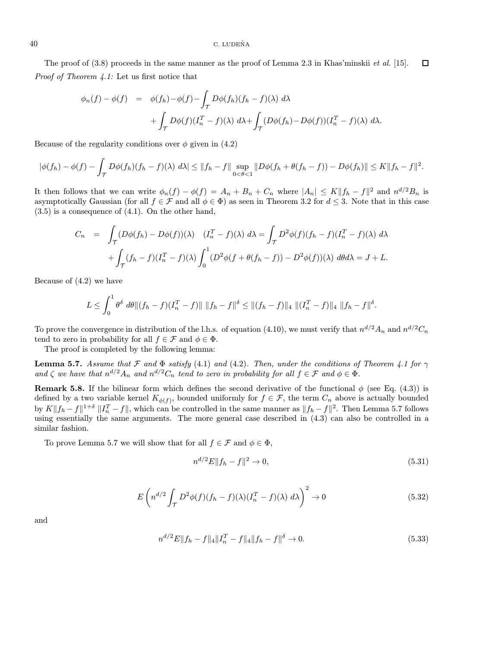The proof of  $(3.8)$  proceeds in the same manner as the proof of Lemma 2.3 in Khas'minskii *et al.* [15].  $\Box$ Proof of Theorem 4.1: Let us first notice that

$$
\phi_n(f) - \phi(f) = \phi(f_h) - \phi(f) - \int_{\mathcal{T}} D\phi(f_h)(f_h - f)(\lambda) d\lambda + \int_{\mathcal{T}} D\phi(f)(I_n^T - f)(\lambda) d\lambda + \int_{\mathcal{T}} (D\phi(f_h) - D\phi(f))(I_n^T - f)(\lambda) d\lambda.
$$

Because of the regularity conditions over  $\phi$  given in (4.2)

$$
|\phi(f_h) - \phi(f) - \int_{\mathcal{T}} D\phi(f_h)(f_h - f)(\lambda) d\lambda| \leq ||f_h - f|| \sup_{0 < \theta < 1} ||D\phi(f_h + \theta(f_h - f)) - D\phi(f_h)|| \leq K ||f_h - f||^2.
$$

It then follows that we can write  $\phi_n(f) - \phi(f) = A_n + B_n + C_n$  where  $|A_n| \leq K ||f_h - f||^2$  and  $n^{d/2}B_n$  is asymptotically Gaussian (for all  $f \in \mathcal{F}$  and all  $\phi \in \Phi$ ) as seen in Theorem 3.2 for  $d \leq 3$ . Note that in this case (3.5) is a consequence of (4.1). On the other hand,

$$
C_n = \int_{\mathcal{T}} (D\phi(f_h) - D\phi(f))(\lambda) \quad (I_n^T - f)(\lambda) \ d\lambda = \int_{\mathcal{T}} D^2\phi(f)(f_h - f)(I_n^T - f)(\lambda) \ d\lambda
$$

$$
+ \int_{\mathcal{T}} (f_h - f)(I_n^T - f)(\lambda) \int_0^1 (D^2\phi(f + \theta(f_h - f)) - D^2\phi(f))(\lambda) \ d\theta d\lambda = J + L.
$$

Because of (4.2) we have

$$
L \leq \int_0^1 \theta^{\delta} d\theta \| (f_h - f)(I_n^T - f) \| \| f_h - f \|^{ \delta } \leq \| (f_h - f) \|_4 \| (I_n^T - f) \|_4 \| f_h - f \|^{ \delta }.
$$

To prove the convergence in distribution of the l.h.s. of equation (4.10), we must verify that  $n^{d/2}A_n$  and  $n^{d/2}C_n$ tend to zero in probability for all  $f \in \mathcal{F}$  and  $\phi \in \Phi$ .

The proof is completed by the following lemma:

**Lemma 5.7.** Assume that F and  $\Phi$  satisfy (4.1) and (4.2). Then, under the conditions of Theorem 4.1 for  $\gamma$ and  $\zeta$  we have that  $n^{d/2}A_n$  and  $n^{d/2}C_n$  tend to zero in probability for all  $f \in \mathcal{F}$  and  $\phi \in \Phi$ .

**Remark 5.8.** If the bilinear form which defines the second derivative of the functional  $\phi$  (see Eq. (4.3)) is defined by a two variable kernel  $K_{\phi(f)}$ , bounded uniformly for  $f \in \mathcal{F}$ , the term  $C_n$  above is actually bounded by  $K||f_h - f||^{1+\delta} ||I_n^T - f||$ , which can be controlled in the same manner as  $||f_h - f||^2$ . Then Lemma 5.7 follows using essentially the same arguments. The more general case described in (4.3) can also be controlled in a similar fashion.

To prove Lemma 5.7 we will show that for all  $f \in \mathcal{F}$  and  $\phi \in \Phi$ ,

$$
n^{d/2}E||f_h - f||^2 \to 0,\t\t(5.31)
$$

$$
E\left(n^{d/2}\int_{\mathcal{T}} D^2\phi(f)(f_h-f)(\lambda)(I_n^T-f)(\lambda) d\lambda\right)^2 \to 0
$$
\n(5.32)

and

$$
n^{d/2}E||f_h - f||_4||I_n^T - f||_4||f_h - f||^\delta \to 0.
$$
\n(5.33)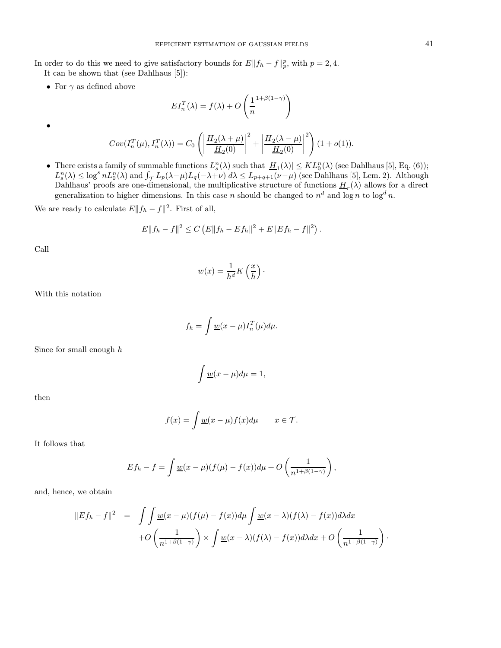In order to do this we need to give satisfactory bounds for  $E||f_h - f||_p^p$ , with  $p = 2, 4$ . It can be shown that (see Dahlhaus [5]):

• For  $\gamma$  as defined above

$$
EI_n^T(\lambda) = f(\lambda) + O\left(\frac{1}{n}^{1+\beta(1-\gamma)}\right)
$$

•

$$
Cov(I_n^T(\mu), I_n^T(\lambda)) = C_0 \left( \left| \frac{\underline{H}_2(\lambda + \mu)}{\underline{H}_2(0)} \right|^2 + \left| \frac{\underline{H}_2(\lambda - \mu)}{\underline{H}_2(0)} \right|^2 \right) (1 + o(1)).
$$

• There exists a family of summable functions  $L_s^n(\lambda)$  such that  $|\underline{H}_1(\lambda)| \leq KL_0^n(\lambda)$  (see Dahlhaus [5], Eq. (6));  $L_s^n(\lambda) \leq \log^s n L_0^n(\lambda)$  and  $\int_{\mathcal{T}} L_p(\lambda-\mu) L_q(-\lambda+\nu) d\lambda \leq L_{p+q+1}(\nu-\mu)$  (see Dahlhaus [5], Lem. 2). Although Dahlhaus' proofs are one-dimensional, the multiplicative structure of functions  $\underline{H}_r(\lambda)$  allows for a direct generalization to higher dimensions. In this case n should be changed to  $n^d$  and  $\log n$  to  $\log^d n$ .

We are ready to calculate  $E||f_h - f||^2$ . First of all,

$$
E||f_h - f||^2 \leq C (E||f_h - Ef_h||^2 + E||Ef_h - f||^2).
$$

Call

$$
\underline{w}(x) = \frac{1}{h^d} \underline{K}\left(\frac{x}{h}\right).
$$

With this notation

$$
f_h = \int \underline{w}(x - \mu) I_n^T(\mu) d\mu.
$$

Since for small enough  $h$ 

$$
\int \underline{w}(x-\mu)d\mu=1,
$$

then

$$
f(x) = \int \underline{w}(x - \mu) f(x) d\mu \qquad x \in \mathcal{T}.
$$

It follows that

$$
Ef_h - f = \int \underline{w}(x - \mu)(f(\mu) - f(x))d\mu + O\left(\frac{1}{n^{1+\beta(1-\gamma)}}\right),
$$

and, hence, we obtain

$$
||Ef_h - f||^2 = \int \int \underline{w}(x - \mu)(f(\mu) - f(x))d\mu \int \underline{w}(x - \lambda)(f(\lambda) - f(x))d\lambda dx
$$

$$
+ O\left(\frac{1}{n^{1+\beta(1-\gamma)}}\right) \times \int \underline{w}(x - \lambda)(f(\lambda) - f(x))d\lambda dx + O\left(\frac{1}{n^{1+\beta(1-\gamma)}}\right).
$$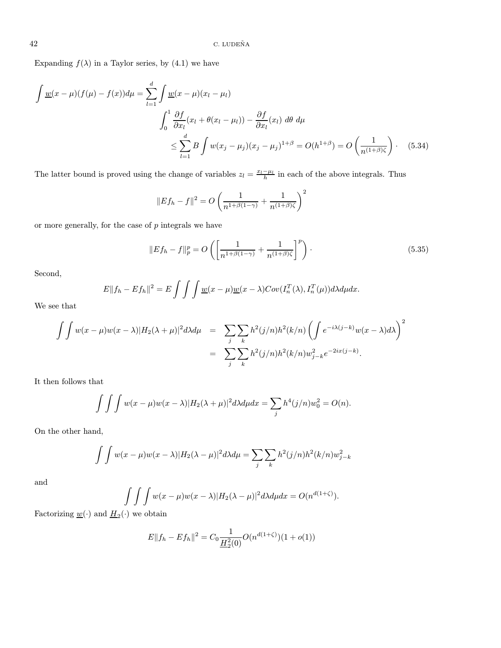Expanding  $f(\lambda)$  in a Taylor series, by (4.1) we have

$$
\int \underline{w}(x - \mu)(f(\mu) - f(x))d\mu = \sum_{l=1}^{d} \int \underline{w}(x - \mu)(x_l - \mu_l)
$$
\n
$$
\int_{0}^{1} \frac{\partial f}{\partial x_l}(x_l + \theta(x_l - \mu_l)) - \frac{\partial f}{\partial x_l}(x_l) \, d\theta \, d\mu
$$
\n
$$
\leq \sum_{l=1}^{d} B \int w(x_j - \mu_j)(x_j - \mu_j)^{1+\beta} = O(h^{1+\beta}) = O\left(\frac{1}{n^{(1+\beta)\zeta}}\right). \tag{5.34}
$$

The latter bound is proved using the change of variables  $z_l = \frac{x_l - \mu_l}{h}$  in each of the above integrals. Thus

$$
||Ef_h - f||^2 = O\left(\frac{1}{n^{1+\beta(1-\gamma)}} + \frac{1}{n^{(1+\beta)\zeta}}\right)^2
$$

or more generally, for the case of  $p$  integrals we have

$$
||Ef_h - f||_p^p = O\left(\left[\frac{1}{n^{1+\beta(1-\gamma)}} + \frac{1}{n^{(1+\beta)\zeta}}\right]^p\right).
$$
\n(5.35)

Second,

$$
E||f_h - Ef_h||^2 = E \int \int \int \underline{w}(x - \mu)\underline{w}(x - \lambda)Cov(I_n^T(\lambda), I_n^T(\mu))d\lambda d\mu dx.
$$

We see that

$$
\int \int w(x-\mu)w(x-\lambda)|H_2(\lambda+\mu)|^2 d\lambda d\mu = \sum_j \sum_k h^2(j/n)h^2(k/n) \left(\int e^{-i\lambda(j-k)}w(x-\lambda)d\lambda\right)^2
$$

$$
= \sum_j \sum_k h^2(j/n)h^2(k/n)w_{j-k}^2 e^{-2ix(j-k)}.
$$

It then follows that

$$
\int \int \int w(x - \mu)w(x - \lambda)|H_2(\lambda + \mu)|^2 d\lambda d\mu dx = \sum_j h^4(j/n)w_0^2 = O(n).
$$

On the other hand,

$$
\int \int w(x - \mu)w(x - \lambda)|H_2(\lambda - \mu)|^2 d\lambda d\mu = \sum_j \sum_k h^2(j/n)h^2(k/n)w_{j-k}^2
$$

and

$$
\int \int \int w(x - \mu)w(x - \lambda)|H_2(\lambda - \mu)|^2 d\lambda d\mu dx = O(n^{d(1+\zeta)}).
$$

Factorizing  $\underline{w}(\cdot)$  and  $\underline{H}_2(\cdot)$  we obtain

$$
E||f_h - Ef_h||^2 = C_0 \frac{1}{\underline{H}_2^2(0)} O(n^{d(1+\zeta)})(1 + o(1))
$$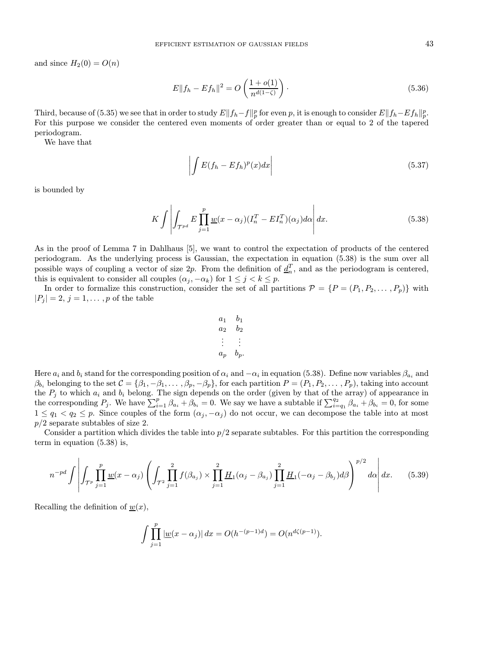and since  $H_2(0) = O(n)$ 

$$
E||f_h - Ef_h||^2 = O\left(\frac{1 + o(1)}{n^{d(1-\zeta)}}\right).
$$
\n(5.36)

Third, because of (5.35) we see that in order to study  $E||f_h-f||_p^p$  for even p, it is enough to consider  $E||f_h-Ef_h||_p^p$ . For this purpose we consider the centered even moments of order greater than or equal to 2 of the tapered periodogram.

We have that

$$
\left| \int E(f_h - Ef_h)^p(x) dx \right| \tag{5.37}
$$

is bounded by

$$
K \int \left| \int_{\mathcal{T}^{pd}} E \prod_{j=1}^p \underline{w}(x - \alpha_j) (I_n^T - E I_n^T)(\alpha_j) d\alpha \right| dx.
$$
 (5.38)

As in the proof of Lemma 7 in Dahlhaus [5], we want to control the expectation of products of the centered periodogram. As the underlying process is Gaussian, the expectation in equation (5.38) is the sum over all possible ways of coupling a vector of size 2p. From the definition of  $\underline{d}_n^T$ , and as the periodogram is centered, this is equivalent to consider all couples  $(\alpha_j, -\alpha_k)$  for  $1 \leq j < k \leq p$ .

In order to formalize this construction, consider the set of all partitions  $\mathcal{P} = \{P = (P_1, P_2, \dots, P_p)\}\$  with  $|P_i| = 2, j = 1, \ldots, p$  of the table

$$
\begin{array}{ccccc}\na_1 & b_1 \\
a_2 & b_2 \\
\vdots & \vdots \\
a_p & b_p.\n\end{array}
$$

Here  $a_i$  and  $b_i$  stand for the corresponding position of  $\alpha_i$  and  $-\alpha_i$  in equation (5.38). Define now variables  $\beta_{a_i}$  and  $\beta_{b_i}$  belonging to the set  $C = {\beta_1, -\beta_1, \ldots, \beta_p, -\beta_p}$ , for each partition  $P = (P_1, P_2, \ldots, P_p)$ , taking into account the  $P_j$  to which  $a_i$  and  $b_i$  belong. The sign depends on the order (given by that of the array) of appearance in the corresponding  $P_j$ . We have  $\sum_{i=1}^p \beta_{a_i} + \beta_{b_i} = 0$ . We say we have a subtable if  $\sum_{i=q_1}^{q_2} \beta_{a_i} + \beta_{b_i} = 0$ , for some  $1 \leq q_1 < q_2 \leq p$ . Since couples of the form  $(\alpha_j, -\alpha_j)$  do not occur, we can decompose the table into at most  $p/2$  separate subtables of size 2.

Consider a partition which divides the table into  $p/2$  separate subtables. For this partition the corresponding term in equation (5.38) is,

$$
n^{-pd} \int \left| \int_{\mathcal{T}^p} \prod_{j=1}^p \underline{w}(x - \alpha_j) \left( \int_{\mathcal{T}^2} \prod_{j=1}^2 f(\beta_{a_j}) \times \prod_{j=1}^2 \underline{H}_1(\alpha_j - \beta_{a_j}) \prod_{j=1}^2 \underline{H}_1(-\alpha_j - \beta_{b_j}) d\beta \right)^{p/2} d\alpha \right| dx. \tag{5.39}
$$

Recalling the definition of  $\underline{w}(x)$ ,

$$
\int \prod_{j=1}^p |\underline{w}(x-\alpha_j)| dx = O(h^{-(p-1)d}) = O(n^{d\zeta(p-1)}).
$$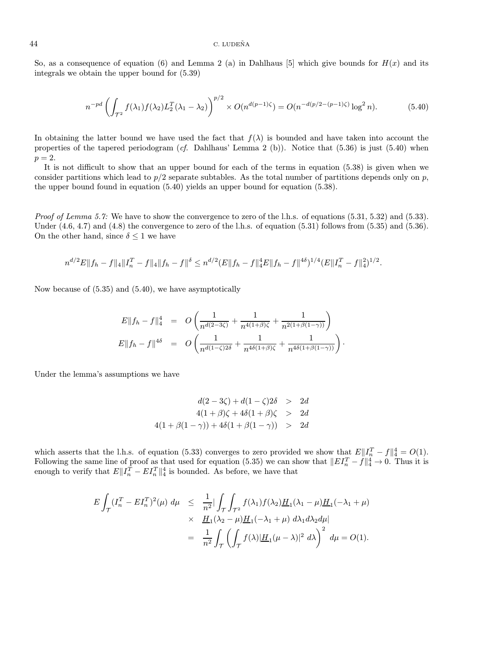So, as a consequence of equation (6) and Lemma 2 (a) in Dahlhaus [5] which give bounds for  $H(x)$  and its integrals we obtain the upper bound for (5.39)

$$
n^{-pd} \left( \int_{\mathcal{T}^2} f(\lambda_1) f(\lambda_2) L_2^T(\lambda_1 - \lambda_2) \right)^{p/2} \times O(n^{d(p-1)\zeta}) = O(n^{-d(p/2 - (p-1)\zeta)} \log^2 n). \tag{5.40}
$$

In obtaining the latter bound we have used the fact that  $f(\lambda)$  is bounded and have taken into account the properties of the tapered periodogram (cf. Dahlhaus' Lemma 2 (b)). Notice that  $(5.36)$  is just  $(5.40)$  when  $p=2.$ 

It is not difficult to show that an upper bound for each of the terms in equation (5.38) is given when we consider partitions which lead to  $p/2$  separate subtables. As the total number of partitions depends only on p, the upper bound found in equation (5.40) yields an upper bound for equation (5.38).

Proof of Lemma 5.7: We have to show the convergence to zero of the l.h.s. of equations (5.31, 5.32) and (5.33). Under  $(4.6, 4.7)$  and  $(4.8)$  the convergence to zero of the l.h.s. of equation  $(5.31)$  follows from  $(5.35)$  and  $(5.36)$ . On the other hand, since  $\delta \leq 1$  we have

$$
n^{d/2}E||f_h - f||_4||I_n^T - f||_4||f_h - f||^{\delta} \leq n^{d/2}(E||f_h - f||_4^4E||f_h - f||^{4\delta})^{1/4}(E||I_n^T - f||_4^2)^{1/2}.
$$

Now because of (5.35) and (5.40), we have asymptotically

$$
E||f_h - f||_4^4 = O\left(\frac{1}{n^{d(2-3\zeta)}} + \frac{1}{n^{4(1+\beta)\zeta}} + \frac{1}{n^{2(1+\beta(1-\gamma))}}\right)
$$
  

$$
E||f_h - f||^{4\delta} = O\left(\frac{1}{n^{d(1-\zeta)2\delta}} + \frac{1}{n^{4\delta(1+\beta)\zeta}} + \frac{1}{n^{4\delta(1+\beta(1-\gamma))}}\right)
$$

·

Under the lemma's assumptions we have

$$
d(2-3\zeta) + d(1-\zeta)2\delta > 2d
$$
  
4(1+\beta)\zeta + 4\delta(1+\beta)\zeta > 2d  
4(1+\beta(1-\gamma)) + 4\delta(1+\beta(1-\gamma)) > 2d

which asserts that the l.h.s. of equation (5.33) converges to zero provided we show that  $E\|I_n^T - f\|_4^4 = O(1)$ . Following the same line of proof as that used for equation (5.35) we can show that  $||EI_n^T - f||_4^4 \to 0$ . Thus it is enough to verify that  $E\|I_n^T - EI_n^T\|_4^4$  is bounded. As before, we have that

$$
E \int_{\mathcal{T}} (I_n^T - EI_n^T)^2(\mu) \, d\mu \leq \frac{1}{n^2} \Big| \int_{\mathcal{T}} \int_{\mathcal{T}^2} f(\lambda_1) f(\lambda_2) \underline{H}_1(\lambda_1 - \mu) \underline{H}_1(-\lambda_1 + \mu) \times \underline{H}_1(\lambda_2 - \mu) \underline{H}_1(-\lambda_1 + \mu) \, d\lambda_1 d\lambda_2 d\mu \Big|
$$
  
= 
$$
\frac{1}{n^2} \int_{\mathcal{T}} \left( \int_{\mathcal{T}} f(\lambda) |\underline{H}_1(\mu - \lambda)|^2 \, d\lambda \right)^2 \, d\mu = O(1).
$$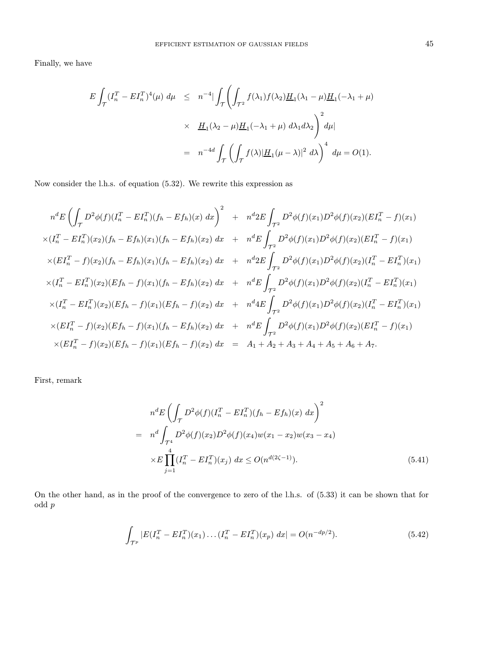Finally, we have

$$
E \int_{\mathcal{T}} (I_n^T - EI_n^T)^4(\mu) d\mu \leq n^{-4} |\int_{\mathcal{T}} \left( \int_{\mathcal{T}^2} f(\lambda_1) f(\lambda_2) \underline{H}_1(\lambda_1 - \mu) \underline{H}_1(-\lambda_1 + \mu) \right. \\
 \times \underline{H}_1(\lambda_2 - \mu) \underline{H}_1(-\lambda_1 + \mu) d\lambda_1 d\lambda_2 \right)^2 d\mu|
$$
\n
$$
= n^{-4d} \int_{\mathcal{T}} \left( \int_{\mathcal{T}} f(\lambda) |\underline{H}_1(\mu - \lambda)|^2 d\lambda \right)^4 d\mu = O(1).
$$

Now consider the l.h.s. of equation (5.32). We rewrite this expression as

$$
n^{d}E\left(\int_{\mathcal{T}} D^{2}\phi(f)(I_{n}^{T} - EI_{n}^{T})(f_{h} - Ef_{h})(x) dx\right)^{2} + n^{d}2E\int_{\mathcal{T}^{2}} D^{2}\phi(f)(x_{1})D^{2}\phi(f)(x_{2})(EI_{n}^{T} - f)(x_{1})
$$
  
\n
$$
\times (I_{n}^{T} - EI_{n}^{T})(x_{2})(f_{h} - Ef_{h})(x_{1})(f_{h} - Ef_{h})(x_{2}) dx + n^{d}E\int_{\mathcal{T}^{2}} D^{2}\phi(f)(x_{1})D^{2}\phi(f)(x_{2})(EI_{n}^{T} - f)(x_{1})
$$
  
\n
$$
\times (EI_{n}^{T} - f)(x_{2})(f_{h} - Ef_{h})(x_{1})(f_{h} - Ef_{h})(x_{2}) dx + n^{d}2E\int_{\mathcal{T}^{2}} D^{2}\phi(f)(x_{1})D^{2}\phi(f)(x_{2})(I_{n}^{T} - EI_{n}^{T})(x_{1})
$$
  
\n
$$
\times (I_{n}^{T} - EI_{n}^{T})(x_{2})(Ef_{h} - f)(x_{1})(f_{h} - Ef_{h})(x_{2}) dx + n^{d}E\int_{\mathcal{T}^{2}} D^{2}\phi(f)(x_{1})D^{2}\phi(f)(x_{2})(I_{n}^{T} - EI_{n}^{T})(x_{1})
$$
  
\n
$$
\times (I_{n}^{T} - EI_{n}^{T})(x_{2})(Ef_{h} - f)(x_{1})(Ef_{h} - f)(x_{2}) dx + n^{d}4E\int_{\mathcal{T}^{2}} D^{2}\phi(f)(x_{1})D^{2}\phi(f)(x_{2})(I_{n}^{T} - EI_{n}^{T})(x_{1})
$$
  
\n
$$
\times (EI_{n}^{T} - f)(x_{2})(Ef_{h} - f)(x_{1})(f_{h} - Ef_{h})(x_{2}) dx + n^{d}E\int_{\mathcal{T}^{2}} D^{2}\phi(f)(x_{1})D^{2}\phi(f)(x_{2})(EI_{n}^{T} - f)(x_{1})
$$
  
\n
$$
\times (EI_{n}^{T} - f)(x_{2})(Ef_{h} - f)(x_{1})(Ef_{h} - f)(x_{2}) dx = A_{1} + A_{2} + A_{3} + A_{4} + A_{5} + A_{6} + A_{7}
$$

First, remark

$$
n^{d} E \left( \int_{\mathcal{T}} D^2 \phi(f) (I_n^T - EI_n^T)(f_h - Ef_h)(x) dx \right)^2
$$
  
= 
$$
n^{d} \int_{\mathcal{T}^4} D^2 \phi(f)(x_2) D^2 \phi(f)(x_4) w(x_1 - x_2) w(x_3 - x_4)
$$
  

$$
\times E \prod_{j=1}^4 (I_n^T - EI_n^T)(x_j) dx \le O(n^{d(2\zeta - 1)}).
$$
 (5.41)

On the other hand, as in the proof of the convergence to zero of the l.h.s. of (5.33) it can be shown that for odd p

$$
\int_{\mathcal{T}^p} |E(I_n^T - EI_n^T)(x_1) \dots (I_n^T - EI_n^T)(x_p) dx| = O(n^{-dp/2}). \tag{5.42}
$$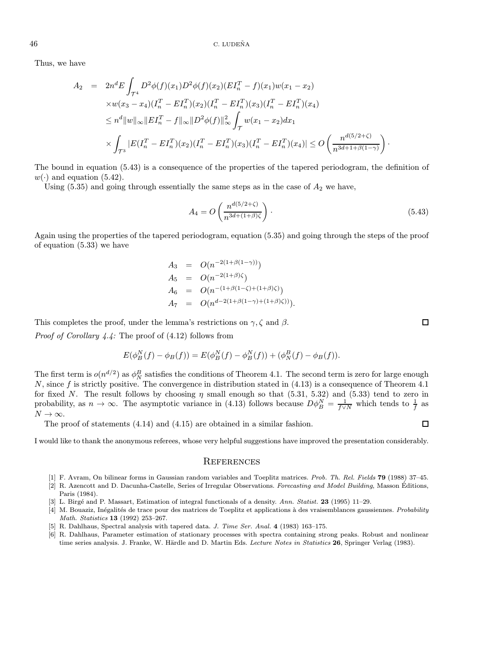Thus, we have

$$
A_2 = 2n^d E \int_{\mathcal{T}^4} D^2 \phi(f)(x_1) D^2 \phi(f)(x_2) (EI_n^T - f)(x_1) w(x_1 - x_2)
$$
  
\n
$$
\times w(x_3 - x_4) (I_n^T - EI_n^T)(x_2) (I_n^T - EI_n^T)(x_3) (I_n^T - EI_n^T)(x_4)
$$
  
\n
$$
\leq n^d \|w\|_{\infty} \|EI_n^T - f\|_{\infty} \|D^2 \phi(f)\|_{\infty}^2 \int_{\mathcal{T}} w(x_1 - x_2) dx_1
$$
  
\n
$$
\times \int_{\mathcal{T}^3} |E(I_n^T - EI_n^T)(x_2) (I_n^T - EI_n^T)(x_3) (I_n^T - EI_n^T)(x_4)| \leq O\left(\frac{n^{d(5/2+\zeta)}}{n^{3d+1+\beta(1-\gamma)}}\right).
$$

The bound in equation (5.43) is a consequence of the properties of the tapered periodogram, the definition of  $w(\cdot)$  and equation (5.42).

Using  $(5.35)$  and going through essentially the same steps as in the case of  $A_2$  we have,

$$
A_4 = O\left(\frac{n^{d(5/2+\zeta)}}{n^{3d+(1+\beta)\zeta}}\right). \tag{5.43}
$$

Again using the properties of the tapered periodogram, equation (5.35) and going through the steps of the proof of equation (5.33) we have

$$
A_3 = O(n^{-2(1+\beta(1-\gamma))})
$$
  
\n
$$
A_5 = O(n^{-2(1+\beta)\zeta})
$$
  
\n
$$
A_6 = O(n^{-(1+\beta(1-\zeta)+(1+\beta)\zeta)})
$$
  
\n
$$
A_7 = O(n^{d-2(1+\beta(1-\gamma)+(1+\beta)\zeta))}).
$$

This completes the proof, under the lemma's restrictions on  $\gamma$ ,  $\zeta$  and  $\beta$ .

Proof of Corollary 4.4: The proof of (4.12) follows from

$$
E(\phi_B^N(f) - \phi_B(f)) = E(\phi_B^N(f) - \phi_B^N(f)) + (\phi_B^B(f) - \phi_B(f)).
$$

The first term is  $o(n^{d/2})$  as  $\phi_N^B$  satisfies the conditions of Theorem 4.1. The second term is zero for large enough N, since f is strictly positive. The convergence in distribution stated in  $(4.13)$  is a consequence of Theorem 4.1 for fixed N. The result follows by choosing  $\eta$  small enough so that (5.31, 5.32) and (5.33) tend to zero in probability, as  $n \to \infty$ . The asymptotic variance in (4.13) follows because  $D\phi_B^N = \frac{1}{f\vee N}$  which tends to  $\frac{1}{f}$  as  $N\rightarrow\infty.$ 

The proof of statements (4.14) and (4.15) are obtained in a similar fashion.

I would like to thank the anonymous referees, whose very helpful suggestions have improved the presentation considerably.

#### **REFERENCES**

- [1] F. Avram, On bilinear forms in Gaussian random variables and Toeplitz matrices. Prob. Th. Rel. Fields 79 (1988) 37–45.
- [2] R. Azencott and D. Dacunha-Castelle, Series of Irregular Observations. Forecasting and Model Building, Masson Éditions, Paris (1984).
- [3] L. Birg´e and P. Massart, Estimation of integral functionals of a density. Ann. Statist. 23 (1995) 11–29.
- [4] M. Bouaziz, Inégalités de trace pour des matrices de Toeplitz et applications à des vraisemblances gaussiennes. Probability Math. Statistics 13 (1992) 253–267.
- [5] R. Dahlhaus, Spectral analysis with tapered data. J. Time Ser. Anal. 4 (1983) 163–175.
- [6] R. Dahlhaus, Parameter estimation of stationary processes with spectra containing strong peaks. Robust and nonlinear time series analysis. J. Franke, W. Härdle and D. Martin Eds. Lecture Notes in Statistics 26, Springer Verlag (1983).

 $\Box$ 

 $\Box$